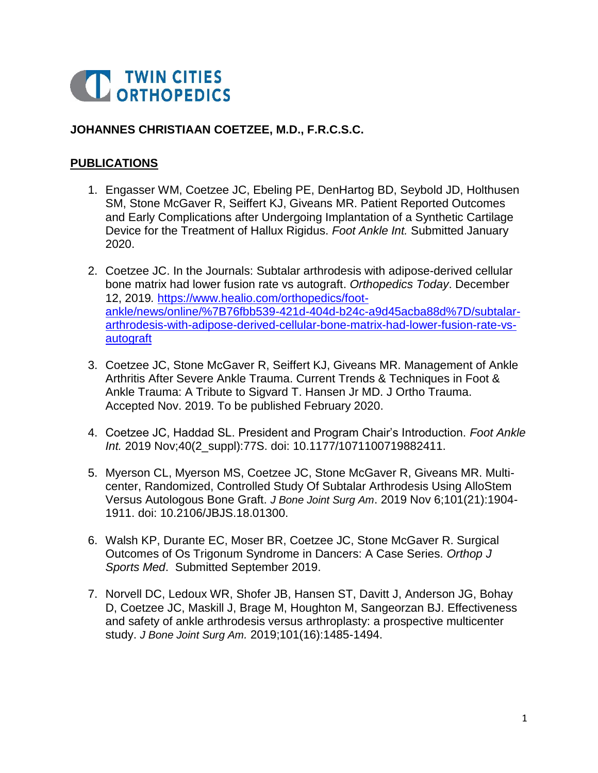

#### **JOHANNES CHRISTIAAN COETZEE, M.D., F.R.C.S.C.**

#### **PUBLICATIONS**

- 1. Engasser WM, Coetzee JC, Ebeling PE, DenHartog BD, Seybold JD, Holthusen SM, Stone McGaver R, Seiffert KJ, Giveans MR. Patient Reported Outcomes and Early Complications after Undergoing Implantation of a Synthetic Cartilage Device for the Treatment of Hallux Rigidus. *Foot Ankle Int.* Submitted January 2020.
- 2. Coetzee JC. In the Journals: Subtalar arthrodesis with adipose-derived cellular bone matrix had lower fusion rate vs autograft. *Orthopedics Today*. December 12, 2019*.* [https://www.healio.com/orthopedics/foot](https://www.healio.com/orthopedics/foot-ankle/news/online/%7B76fbb539-421d-404d-b24c-a9d45acba88d%7D/subtalar-arthrodesis-with-adipose-derived-cellular-bone-matrix-had-lower-fusion-rate-vs-autograft)[ankle/news/online/%7B76fbb539-421d-404d-b24c-a9d45acba88d%7D/subtalar](https://www.healio.com/orthopedics/foot-ankle/news/online/%7B76fbb539-421d-404d-b24c-a9d45acba88d%7D/subtalar-arthrodesis-with-adipose-derived-cellular-bone-matrix-had-lower-fusion-rate-vs-autograft)[arthrodesis-with-adipose-derived-cellular-bone-matrix-had-lower-fusion-rate-vs](https://www.healio.com/orthopedics/foot-ankle/news/online/%7B76fbb539-421d-404d-b24c-a9d45acba88d%7D/subtalar-arthrodesis-with-adipose-derived-cellular-bone-matrix-had-lower-fusion-rate-vs-autograft)[autograft](https://www.healio.com/orthopedics/foot-ankle/news/online/%7B76fbb539-421d-404d-b24c-a9d45acba88d%7D/subtalar-arthrodesis-with-adipose-derived-cellular-bone-matrix-had-lower-fusion-rate-vs-autograft)
- 3. Coetzee JC, Stone McGaver R, Seiffert KJ, Giveans MR. Management of Ankle Arthritis After Severe Ankle Trauma. Current Trends & Techniques in Foot & Ankle Trauma: A Tribute to Sigvard T. Hansen Jr MD. J Ortho Trauma. Accepted Nov. 2019. To be published February 2020.
- 4. Coetzee JC, Haddad SL. President and Program Chair's Introduction. *Foot Ankle Int.* 2019 Nov;40(2\_suppl):77S. doi: 10.1177/1071100719882411.
- 5. Myerson CL, Myerson MS, Coetzee JC, Stone McGaver R, Giveans MR. Multicenter, Randomized, Controlled Study Of Subtalar Arthrodesis Using AlloStem Versus Autologous Bone Graft. *J Bone Joint Surg Am*. 2019 Nov 6;101(21):1904- 1911. doi: 10.2106/JBJS.18.01300.
- 6. Walsh KP, Durante EC, Moser BR, Coetzee JC, Stone McGaver R. Surgical Outcomes of Os Trigonum Syndrome in Dancers: A Case Series. *Orthop J Sports Med*. Submitted September 2019.
- 7. Norvell DC, Ledoux WR, Shofer JB, Hansen ST, Davitt J, Anderson JG, Bohay D, Coetzee JC, Maskill J, Brage M, Houghton M, Sangeorzan BJ. Effectiveness and safety of ankle arthrodesis versus arthroplasty: a prospective multicenter study. *J Bone Joint Surg Am.* 2019;101(16):1485-1494.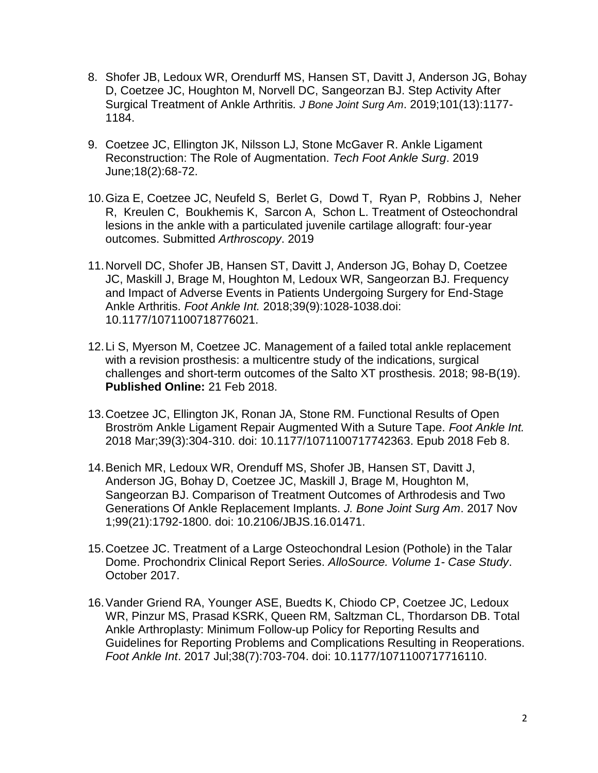- 8. Shofer JB, Ledoux WR, Orendurff MS, Hansen ST, Davitt J, Anderson JG, Bohay D, Coetzee JC, Houghton M, Norvell DC, Sangeorzan BJ. Step Activity After Surgical Treatment of Ankle Arthritis*. J Bone Joint Surg Am*. 2019;101(13):1177- 1184.
- 9. Coetzee JC, Ellington JK, Nilsson LJ, Stone McGaver R. Ankle Ligament Reconstruction: The Role of Augmentation. *Tech Foot Ankle Surg*. 2019 June;18(2):68-72.
- 10.Giza E, Coetzee JC, Neufeld S, Berlet G, Dowd T, Ryan P, Robbins J, Neher R, Kreulen C, Boukhemis K, Sarcon A, Schon L. Treatment of Osteochondral lesions in the ankle with a particulated juvenile cartilage allograft: four-year outcomes. Submitted *Arthroscopy*. 2019
- 11.Norvell DC, Shofer JB, Hansen ST, Davitt J, Anderson JG, Bohay D, Coetzee JC, Maskill J, Brage M, Houghton M, Ledoux WR, Sangeorzan BJ. Frequency and Impact of Adverse Events in Patients Undergoing Surgery for End-Stage Ankle Arthritis. *Foot Ankle Int.* 2018;39(9):1028-1038.doi: 10.1177/1071100718776021.
- 12.Li S, Myerson M, Coetzee JC. Management of a failed total ankle replacement with a revision prosthesis: a multicentre study of the indications, surgical challenges and short-term outcomes of the Salto XT prosthesis. 2018; 98-B(19). **Published Online:** 21 Feb 2018.
- 13.Coetzee JC, Ellington JK, Ronan JA, Stone RM. Functional Results of Open Broström Ankle Ligament Repair Augmented With a Suture Tape. *Foot Ankle Int.*  2018 Mar;39(3):304-310. doi: 10.1177/1071100717742363. Epub 2018 Feb 8.
- 14.Benich MR, Ledoux WR, Orenduff MS, Shofer JB, Hansen ST, Davitt J, Anderson JG, Bohay D, Coetzee JC, Maskill J, Brage M, Houghton M, Sangeorzan BJ. Comparison of Treatment Outcomes of Arthrodesis and Two Generations Of Ankle Replacement Implants. *J. Bone Joint Surg Am*. 2017 Nov 1;99(21):1792-1800. doi: 10.2106/JBJS.16.01471.
- 15.Coetzee JC. Treatment of a Large Osteochondral Lesion (Pothole) in the Talar Dome. Prochondrix Clinical Report Series. *AlloSource. Volume 1- Case Study*. October 2017.
- 16[.Vander Griend RA,](https://www.ncbi.nlm.nih.gov/pubmed/?term=Vander%20Griend%20RA%5BAuthor%5D&cauthor=true&cauthor_uid=28682140) [Younger ASE,](https://www.ncbi.nlm.nih.gov/pubmed/?term=Younger%20ASE%5BAuthor%5D&cauthor=true&cauthor_uid=28682140) [Buedts K,](https://www.ncbi.nlm.nih.gov/pubmed/?term=Buedts%20K%5BAuthor%5D&cauthor=true&cauthor_uid=28682140) [Chiodo CP,](https://www.ncbi.nlm.nih.gov/pubmed/?term=Chiodo%20CP%5BAuthor%5D&cauthor=true&cauthor_uid=28682140) Coetzee JC, [Ledoux](https://www.ncbi.nlm.nih.gov/pubmed/?term=Ledoux%20WR%5BAuthor%5D&cauthor=true&cauthor_uid=28682140)  [WR,](https://www.ncbi.nlm.nih.gov/pubmed/?term=Ledoux%20WR%5BAuthor%5D&cauthor=true&cauthor_uid=28682140) [Pinzur MS,](https://www.ncbi.nlm.nih.gov/pubmed/?term=Pinzur%20MS%5BAuthor%5D&cauthor=true&cauthor_uid=28682140) [Prasad KSRK,](https://www.ncbi.nlm.nih.gov/pubmed/?term=Prasad%20KSRK%5BAuthor%5D&cauthor=true&cauthor_uid=28682140) [Queen RM,](https://www.ncbi.nlm.nih.gov/pubmed/?term=Queen%20RM%5BAuthor%5D&cauthor=true&cauthor_uid=28682140) [Saltzman CL,](https://www.ncbi.nlm.nih.gov/pubmed/?term=Saltzman%20CL%5BAuthor%5D&cauthor=true&cauthor_uid=28682140) [Thordarson DB.](https://www.ncbi.nlm.nih.gov/pubmed/?term=Thordarson%20DB%5BAuthor%5D&cauthor=true&cauthor_uid=28682140) Total Ankle Arthroplasty: Minimum Follow-up Policy for Reporting Results and Guidelines for Reporting Problems and Complications Resulting in Reoperations. *[Foot Ankle Int](https://www.ncbi.nlm.nih.gov/pubmed/28682140)*. 2017 Jul;38(7):703-704. doi: 10.1177/1071100717716110.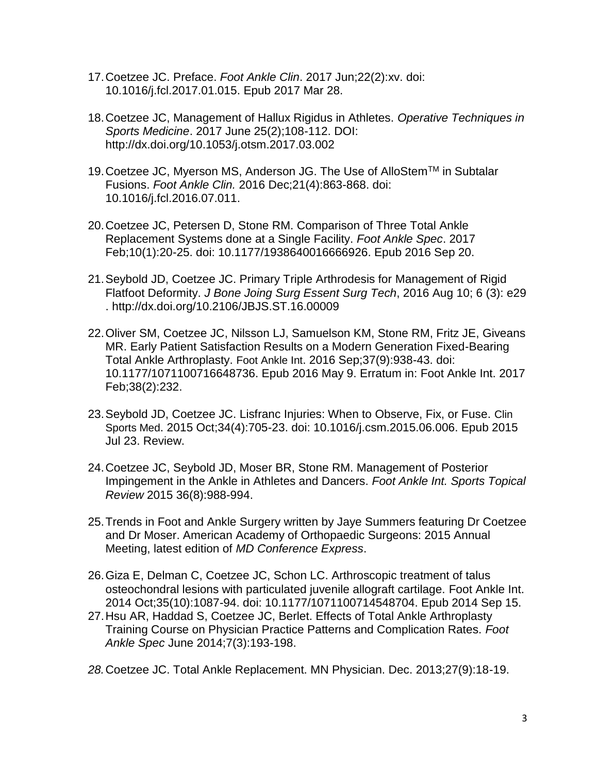- 17.Coetzee JC. Preface. *Foot Ankle Clin*. 2017 Jun;22(2):xv. doi: 10.1016/j.fcl.2017.01.015. Epub 2017 Mar 28.
- 18.Coetzee JC, Management of Hallux Rigidus in Athletes. *Operative Techniques in Sports Medicine*. 2017 June 25(2);108-112. DOI: http://dx.doi.org/10.1053/j.otsm.2017.03.002
- 19. Coetzee JC, Myerson MS, Anderson JG. The Use of AlloStem™ in Subtalar Fusions. *Foot Ankle Clin.* 2016 Dec;21(4):863-868. doi: 10.1016/j.fcl.2016.07.011.
- 20.Coetzee JC, Petersen D, Stone RM. Comparison of Three Total Ankle Replacement Systems done at a Single Facility. *Foot Ankle Spec*. 2017 Feb;10(1):20-25. doi: 10.1177/1938640016666926. Epub 2016 Sep 20.
- 21.Seybold JD, Coetzee JC. Primary Triple Arthrodesis for Management of Rigid Flatfoot Deformity. *J Bone Joing Surg Essent Surg Tech*, 2016 Aug 10; 6 (3): e29 . http://dx.doi.org/10.2106/JBJS.ST.16.00009
- 22.Oliver SM, [Coetzee JC,](http://www.ncbi.nlm.nih.gov/pubmed/?term=Coetzee%20JC%5BAuthor%5D&cauthor=true&cauthor_uid=27162222) [Nilsson LJ,](http://www.ncbi.nlm.nih.gov/pubmed/?term=Nilsson%20LJ%5BAuthor%5D&cauthor=true&cauthor_uid=27162222) [Samuelson KM,](http://www.ncbi.nlm.nih.gov/pubmed/?term=Samuelson%20KM%5BAuthor%5D&cauthor=true&cauthor_uid=27162222) [Stone RM,](http://www.ncbi.nlm.nih.gov/pubmed/?term=Stone%20RM%5BAuthor%5D&cauthor=true&cauthor_uid=27162222) [Fritz JE,](http://www.ncbi.nlm.nih.gov/pubmed/?term=Fritz%20JE%5BAuthor%5D&cauthor=true&cauthor_uid=27162222) [Giveans](http://www.ncbi.nlm.nih.gov/pubmed/?term=Giveans%20MR%5BAuthor%5D&cauthor=true&cauthor_uid=27162222)  [MR.](http://www.ncbi.nlm.nih.gov/pubmed/?term=Giveans%20MR%5BAuthor%5D&cauthor=true&cauthor_uid=27162222) Early Patient Satisfaction Results on a Modern Generation Fixed-Bearing Total Ankle Arthroplasty. Foot Ankle Int. 2016 Sep;37(9):938-43. doi: 10.1177/1071100716648736. Epub 2016 May 9. Erratum in: Foot Ankle Int. 2017 Feb;38(2):232.
- 23.Seybold JD, Coetzee JC. [Lisfranc Injuries: When to Observe, Fix, or Fuse.](http://www.ncbi.nlm.nih.gov/pubmed/26409591) Clin Sports Med. 2015 Oct;34(4):705-23. doi: 10.1016/j.csm.2015.06.006. Epub 2015 Jul 23. Review.
- 24.Coetzee JC, Seybold JD, Moser BR, Stone RM. Management of Posterior Impingement in the Ankle in Athletes and Dancers. *Foot Ankle Int. Sports Topical Review* 2015 36(8):988-994.
- 25.Trends in Foot and Ankle Surgery written by Jaye Summers featuring Dr Coetzee and Dr Moser. American Academy of Orthopaedic Surgeons: 2015 Annual Meeting, latest edition of *MD Conference Express*.
- 26[.Giza E,](http://www.ncbi.nlm.nih.gov/pubmed/?term=Giza%20E%5BAuthor%5D&cauthor=true&cauthor_uid=25223301) [Delman C,](http://www.ncbi.nlm.nih.gov/pubmed/?term=Delman%20C%5BAuthor%5D&cauthor=true&cauthor_uid=25223301) [Coetzee JC,](http://www.ncbi.nlm.nih.gov/pubmed/?term=Coetzee%20JC%5BAuthor%5D&cauthor=true&cauthor_uid=25223301) [Schon LC.](http://www.ncbi.nlm.nih.gov/pubmed/?term=Schon%20LC%5BAuthor%5D&cauthor=true&cauthor_uid=25223301) Arthroscopic treatment of talus osteochondral lesions with particulated juvenile allograft cartilage. [Foot Ankle Int.](http://www.ncbi.nlm.nih.gov/pubmed/25223301) 2014 Oct;35(10):1087-94. doi: 10.1177/1071100714548704. Epub 2014 Sep 15.
- 27.Hsu AR, Haddad S, Coetzee JC, Berlet. Effects of Total Ankle Arthroplasty Training Course on Physician Practice Patterns and Complication Rates. *Foot Ankle Spec* June 2014;7(3):193-198.
- *28.*Coetzee JC. Total Ankle Replacement. MN Physician. Dec. 2013;27(9):18-19.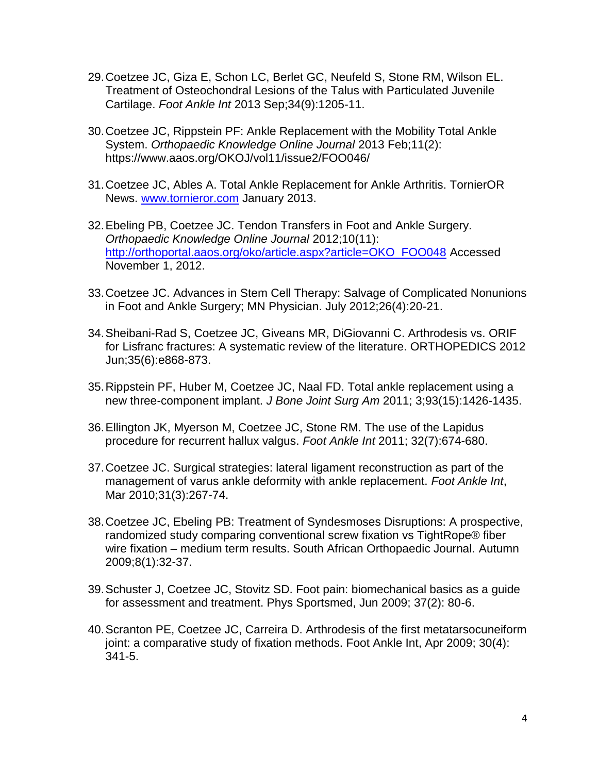- 29.Coetzee JC, Giza E, Schon LC, Berlet GC, Neufeld S, Stone RM, Wilson EL. Treatment of Osteochondral Lesions of the Talus with Particulated Juvenile Cartilage. *Foot Ankle Int* 2013 Sep;34(9):1205-11.
- 30.Coetzee JC, Rippstein PF: Ankle Replacement with the Mobility Total Ankle System. *Orthopaedic Knowledge Online Journal* 2013 Feb;11(2): https://www.aaos.org/OKOJ/vol11/issue2/FOO046/
- 31.Coetzee JC, Ables A. Total Ankle Replacement for Ankle Arthritis. TornierOR News. [www.tornieror.com](http://www.tornieror.com/) January 2013.
- 32.Ebeling PB, Coetzee JC. Tendon Transfers in Foot and Ankle Surgery. *Orthopaedic Knowledge Online Journal* 2012;10(11): [http://orthoportal.aaos.org/oko/article.aspx?article=OKO\\_FOO048](http://orthoportal.aaos.org/oko/article.aspx?article=OKO_FOO048) Accessed November 1, 2012.
- 33.Coetzee JC. Advances in Stem Cell Therapy: Salvage of Complicated Nonunions in Foot and Ankle Surgery; MN Physician. July 2012;26(4):20-21.
- 34.Sheibani-Rad S, Coetzee JC, Giveans MR, DiGiovanni C. Arthrodesis vs. ORIF for Lisfranc fractures: A systematic review of the literature. ORTHOPEDICS 2012 Jun;35(6):e868-873.
- 35.Rippstein PF, Huber M, Coetzee JC, Naal FD. Total ankle replacement using a new three-component implant. *J Bone Joint Surg Am* 2011; 3;93(15):1426-1435.
- 36.Ellington JK, Myerson M, Coetzee JC, Stone RM. The use of the Lapidus procedure for recurrent hallux valgus. *Foot Ankle Int* 2011; 32(7):674-680.
- 37.Coetzee JC. Surgical strategies: lateral ligament reconstruction as part of the management of varus ankle deformity with ankle replacement. *Foot Ankle Int*, Mar 2010;31(3):267-74.
- 38.Coetzee JC, Ebeling PB: Treatment of Syndesmoses Disruptions: A prospective, randomized study comparing conventional screw fixation vs TightRope® fiber wire fixation – medium term results. South African Orthopaedic Journal. Autumn 2009;8(1):32-37.
- 39.Schuster J, Coetzee JC, Stovitz SD. Foot pain: biomechanical basics as a guide for assessment and treatment. Phys Sportsmed, Jun 2009; 37(2): 80-6.
- 40.Scranton PE, Coetzee JC, Carreira D. Arthrodesis of the first metatarsocuneiform joint: a comparative study of fixation methods. Foot Ankle Int, Apr 2009; 30(4): 341-5.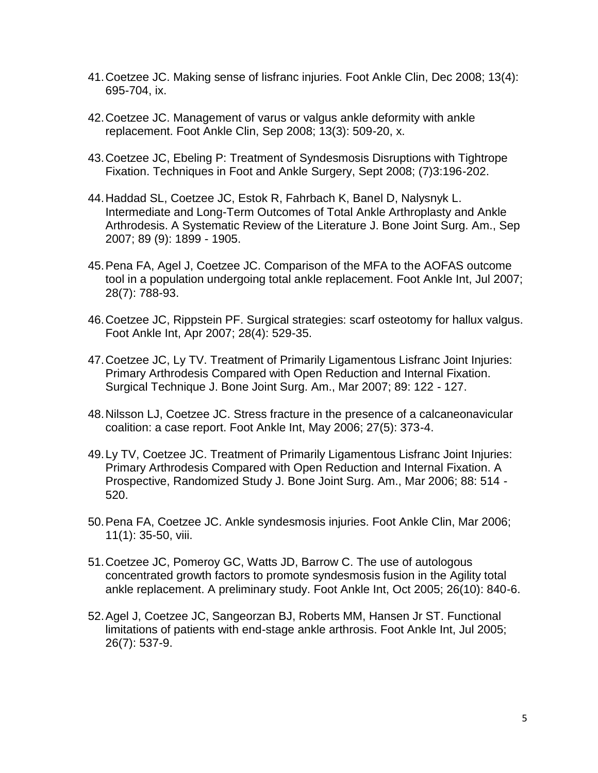- 41.Coetzee JC. Making sense of lisfranc injuries. Foot Ankle Clin, Dec 2008; 13(4): 695-704, ix.
- 42.Coetzee JC. Management of varus or valgus ankle deformity with ankle replacement. Foot Ankle Clin, Sep 2008; 13(3): 509-20, x.
- 43.Coetzee JC, Ebeling P: Treatment of Syndesmosis Disruptions with Tightrope Fixation. Techniques in Foot and Ankle Surgery, Sept 2008; (7)3:196-202.
- 44.Haddad SL, Coetzee JC, Estok R, Fahrbach K, Banel D, Nalysnyk L. Intermediate and Long-Term Outcomes of Total Ankle Arthroplasty and Ankle Arthrodesis. A Systematic Review of the Literature J. Bone Joint Surg. Am., Sep 2007; 89 (9): 1899 - 1905.
- 45.Pena FA, Agel J, Coetzee JC. Comparison of the MFA to the AOFAS outcome tool in a population undergoing total ankle replacement. Foot Ankle Int, Jul 2007; 28(7): 788-93.
- 46.Coetzee JC, Rippstein PF. Surgical strategies: scarf osteotomy for hallux valgus. Foot Ankle Int, Apr 2007; 28(4): 529-35.
- 47.Coetzee JC, Ly TV. Treatment of Primarily Ligamentous Lisfranc Joint Injuries: Primary Arthrodesis Compared with Open Reduction and Internal Fixation. Surgical Technique J. Bone Joint Surg. Am., Mar 2007; 89: 122 - 127.
- 48.Nilsson LJ, Coetzee JC. Stress fracture in the presence of a calcaneonavicular coalition: a case report. Foot Ankle Int, May 2006; 27(5): 373-4.
- 49.Ly TV, Coetzee JC. Treatment of Primarily Ligamentous Lisfranc Joint Injuries: Primary Arthrodesis Compared with Open Reduction and Internal Fixation. A Prospective, Randomized Study J. Bone Joint Surg. Am., Mar 2006; 88: 514 - 520.
- 50.Pena FA, Coetzee JC. Ankle syndesmosis injuries. Foot Ankle Clin, Mar 2006; 11(1): 35-50, viii.
- 51.Coetzee JC, Pomeroy GC, Watts JD, Barrow C. The use of autologous concentrated growth factors to promote syndesmosis fusion in the Agility total ankle replacement. A preliminary study. Foot Ankle Int, Oct 2005; 26(10): 840-6.
- 52.Agel J, Coetzee JC, Sangeorzan BJ, Roberts MM, Hansen Jr ST. Functional limitations of patients with end-stage ankle arthrosis. Foot Ankle Int, Jul 2005; 26(7): 537-9.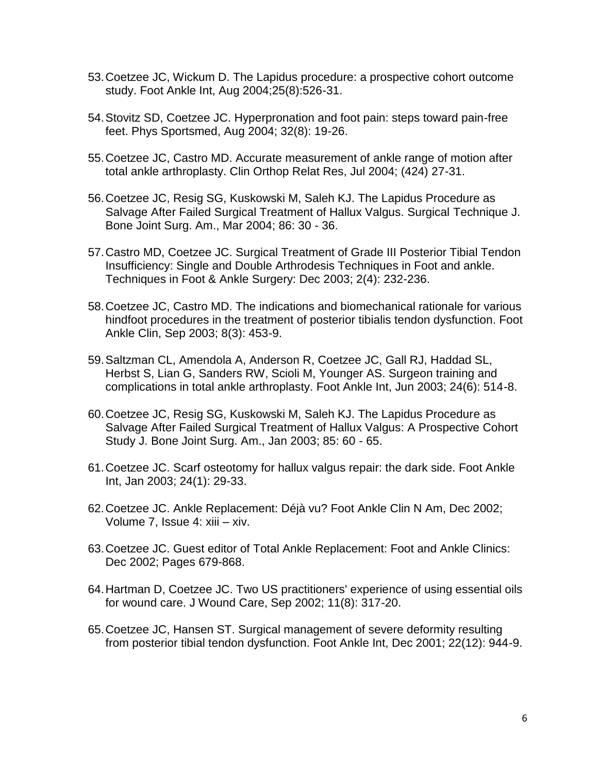- 53.Coetzee JC, Wickum D. The Lapidus procedure: a prospective cohort outcome study. Foot Ankle Int, Aug 2004;25(8):526-31.
- 54.Stovitz SD, Coetzee JC. Hyperpronation and foot pain: steps toward pain-free feet. Phys Sportsmed, Aug 2004; 32(8): 19-26.
- 55.Coetzee JC, Castro MD. Accurate measurement of ankle range of motion after total ankle arthroplasty. Clin Orthop Relat Res, Jul 2004; (424) 27-31.
- 56.Coetzee JC, Resig SG, Kuskowski M, Saleh KJ. The Lapidus Procedure as Salvage After Failed Surgical Treatment of Hallux Valgus. Surgical Technique J. Bone Joint Surg. Am., Mar 2004; 86: 30 - 36.
- 57.Castro MD, Coetzee JC. Surgical Treatment of Grade III Posterior Tibial Tendon Insufficiency: Single and Double Arthrodesis Techniques in Foot and ankle. Techniques in Foot & Ankle Surgery: Dec 2003; 2(4): 232-236.
- 58.Coetzee JC, Castro MD. The indications and biomechanical rationale for various hindfoot procedures in the treatment of posterior tibialis tendon dysfunction. Foot Ankle Clin, Sep 2003; 8(3): 453-9.
- 59.Saltzman CL, Amendola A, Anderson R, Coetzee JC, Gall RJ, Haddad SL, Herbst S, Lian G, Sanders RW, Scioli M, Younger AS. Surgeon training and complications in total ankle arthroplasty. Foot Ankle Int, Jun 2003; 24(6): 514-8.
- 60.Coetzee JC, Resig SG, Kuskowski M, Saleh KJ. The Lapidus Procedure as Salvage After Failed Surgical Treatment of Hallux Valgus: A Prospective Cohort Study J. Bone Joint Surg. Am., Jan 2003; 85: 60 - 65.
- 61.Coetzee JC. Scarf osteotomy for hallux valgus repair: the dark side. Foot Ankle Int, Jan 2003; 24(1): 29-33.
- 62.Coetzee JC. Ankle Replacement: Déjà vu? Foot Ankle Clin N Am, Dec 2002; Volume 7, Issue 4: xiii – xiv.
- 63.Coetzee JC. Guest editor of Total Ankle Replacement: Foot and Ankle Clinics: Dec 2002; Pages 679-868.
- 64.Hartman D, Coetzee JC. Two US practitioners' experience of using essential oils for wound care. J Wound Care, Sep 2002; 11(8): 317-20.
- 65.Coetzee JC, Hansen ST. Surgical management of severe deformity resulting from posterior tibial tendon dysfunction. Foot Ankle Int, Dec 2001; 22(12): 944-9.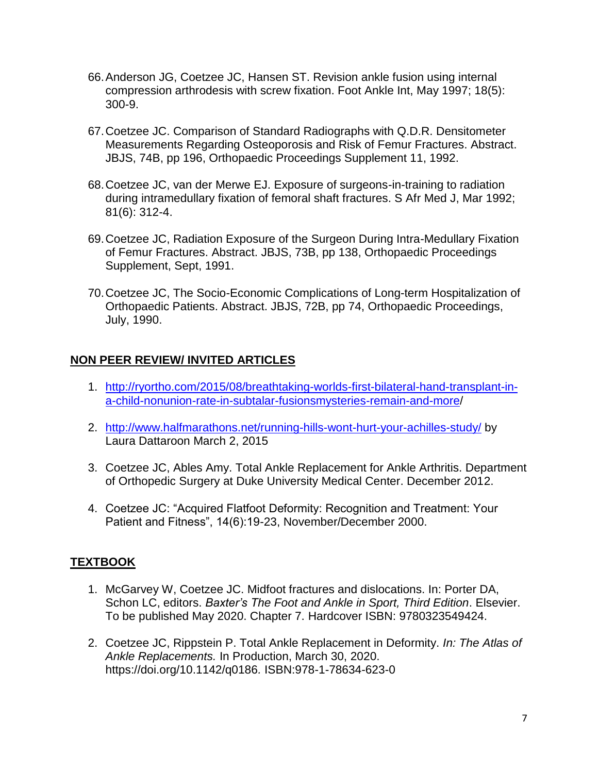- 66.Anderson JG, Coetzee JC, Hansen ST. Revision ankle fusion using internal compression arthrodesis with screw fixation. Foot Ankle Int, May 1997; 18(5): 300-9.
- 67.Coetzee JC. Comparison of Standard Radiographs with Q.D.R. Densitometer Measurements Regarding Osteoporosis and Risk of Femur Fractures. Abstract. JBJS, 74B, pp 196, Orthopaedic Proceedings Supplement 11, 1992.
- 68.Coetzee JC, van der Merwe EJ. Exposure of surgeons-in-training to radiation during intramedullary fixation of femoral shaft fractures. S Afr Med J, Mar 1992; 81(6): 312-4.
- 69.Coetzee JC, Radiation Exposure of the Surgeon During Intra-Medullary Fixation of Femur Fractures. Abstract. JBJS, 73B, pp 138, Orthopaedic Proceedings Supplement, Sept, 1991.
- 70.Coetzee JC, The Socio-Economic Complications of Long-term Hospitalization of Orthopaedic Patients. Abstract. JBJS, 72B, pp 74, Orthopaedic Proceedings, July, 1990.

## **NON PEER REVIEW/ INVITED ARTICLES**

- 1. [http://ryortho.com/2015/08/breathtaking-worlds-first-bilateral-hand-transplant-in](http://ryortho.com/2015/08/breathtaking-worlds-first-bilateral-hand-transplant-in-a-child-nonunion-rate-in-subtalar-fusionsmysteries-remain-and-more)[a-child-nonunion-rate-in-subtalar-fusionsmysteries-remain-and-more/](http://ryortho.com/2015/08/breathtaking-worlds-first-bilateral-hand-transplant-in-a-child-nonunion-rate-in-subtalar-fusionsmysteries-remain-and-more)
- 2. <http://www.halfmarathons.net/running-hills-wont-hurt-your-achilles-study/> by Laura Dattaroon March 2, 2015
- 3. Coetzee JC, Ables Amy. Total Ankle Replacement for Ankle Arthritis. Department of Orthopedic Surgery at Duke University Medical Center. December 2012.
- 4. Coetzee JC: "Acquired Flatfoot Deformity: Recognition and Treatment: Your Patient and Fitness", 14(6):19-23, November/December 2000.

## **TEXTBOOK**

- 1. McGarvey W, Coetzee JC. Midfoot fractures and dislocations. In: Porter DA, Schon LC, editors. *Baxter's The Foot and Ankle in Sport, Third Edition*. Elsevier. To be published May 2020. Chapter 7. Hardcover ISBN: 9780323549424.
- 2. Coetzee JC, Rippstein P. Total Ankle Replacement in Deformity. *In: The Atlas of Ankle Replacements.* In Production, March 30, 2020. https://doi.org/10.1142/q0186*.* ISBN:978-1-78634-623-0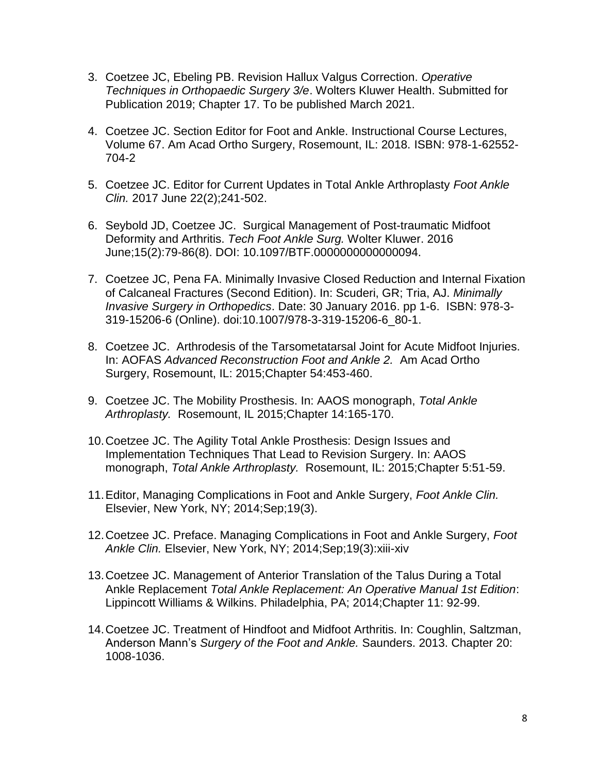- 3. Coetzee JC, Ebeling PB. Revision Hallux Valgus Correction. *Operative Techniques in Orthopaedic Surgery 3/e*. Wolters Kluwer Health. Submitted for Publication 2019; Chapter 17. To be published March 2021.
- 4. Coetzee JC. Section Editor for Foot and Ankle. Instructional Course Lectures, Volume 67. Am Acad Ortho Surgery, Rosemount, IL: 2018. ISBN: 978-1-62552- 704-2
- 5. Coetzee JC. Editor for Current Updates in Total Ankle Arthroplasty *Foot Ankle Clin.* 2017 June 22(2);241-502.
- 6. Seybold JD, Coetzee JC. Surgical Management of Post-traumatic Midfoot Deformity and Arthritis. *Tech Foot Ankle Surg.* Wolter Kluwer. 2016 June;15(2):79-86(8). DOI: 10.1097/BTF.0000000000000094.
- 7. Coetzee JC, Pena FA. Minimally Invasive Closed Reduction and Internal Fixation of Calcaneal Fractures (Second Edition). In: Scuderi, GR; Tria, AJ. *Minimally Invasive Surgery in Orthopedics*. Date: 30 January 2016. pp 1-6. ISBN: 978-3- 319-15206-6 (Online). doi:10.1007/978-3-319-15206-6\_80-1.
- 8. Coetzee JC. Arthrodesis of the Tarsometatarsal Joint for Acute Midfoot Injuries. In: AOFAS *Advanced Reconstruction Foot and Ankle 2.* Am Acad Ortho Surgery, Rosemount, IL: 2015;Chapter 54:453-460.
- 9. Coetzee JC. The Mobility Prosthesis. In: AAOS monograph, *Total Ankle Arthroplasty.* Rosemount, IL 2015;Chapter 14:165-170.
- 10.Coetzee JC. The Agility Total Ankle Prosthesis: Design Issues and Implementation Techniques That Lead to Revision Surgery. In: AAOS monograph, *Total Ankle Arthroplasty.* Rosemount, IL: 2015;Chapter 5:51-59.
- 11.Editor, Managing Complications in Foot and Ankle Surgery, *Foot Ankle Clin.* Elsevier, New York, NY; 2014;Sep;19(3).
- 12.Coetzee JC. Preface. Managing Complications in Foot and Ankle Surgery, *Foot Ankle Clin.* Elsevier, New York, NY; 2014;Sep;19(3):xiii-xiv
- 13.Coetzee JC. Management of Anterior Translation of the Talus During a Total Ankle Replacement *Total Ankle Replacement: An Operative Manual 1st Edition*: Lippincott Williams & Wilkins. Philadelphia, PA; 2014;Chapter 11: 92-99.
- 14.Coetzee JC. Treatment of Hindfoot and Midfoot Arthritis. In: Coughlin, Saltzman, Anderson Mann's *Surgery of the Foot and Ankle.* Saunders. 2013. Chapter 20: 1008-1036.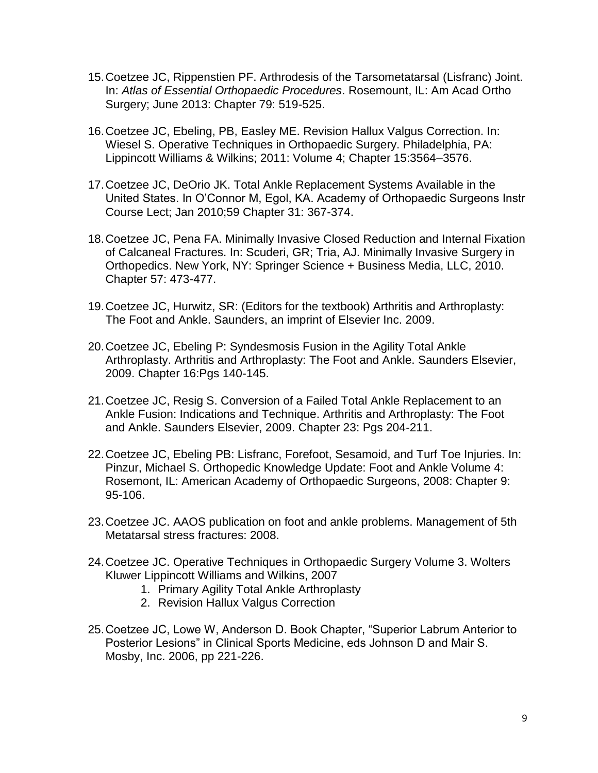- 15.Coetzee JC, Rippenstien PF. Arthrodesis of the Tarsometatarsal (Lisfranc) Joint. In: *Atlas of Essential Orthopaedic Procedures*. Rosemount, IL: Am Acad Ortho Surgery; June 2013: Chapter 79: 519-525.
- 16.Coetzee JC, Ebeling, PB, Easley ME. Revision Hallux Valgus Correction. In: Wiesel S. Operative Techniques in Orthopaedic Surgery. Philadelphia, PA: Lippincott Williams & Wilkins; 2011: Volume 4; Chapter 15:3564–3576.
- 17.Coetzee JC, DeOrio JK. Total Ankle Replacement Systems Available in the United States. In O'Connor M, Egol, KA. Academy of Orthopaedic Surgeons Instr Course Lect; Jan 2010;59 Chapter 31: 367-374.
- 18.Coetzee JC, Pena FA. Minimally Invasive Closed Reduction and Internal Fixation of Calcaneal Fractures. In: Scuderi, GR; Tria, AJ. Minimally Invasive Surgery in Orthopedics. New York, NY: Springer Science + Business Media, LLC, 2010. Chapter 57: 473-477.
- 19.Coetzee JC, Hurwitz, SR: (Editors for the textbook) Arthritis and Arthroplasty: The Foot and Ankle. Saunders, an imprint of Elsevier Inc. 2009.
- 20.Coetzee JC, Ebeling P: Syndesmosis Fusion in the Agility Total Ankle Arthroplasty. Arthritis and Arthroplasty: The Foot and Ankle. Saunders Elsevier, 2009. Chapter 16:Pgs 140-145.
- 21.Coetzee JC, Resig S. Conversion of a Failed Total Ankle Replacement to an Ankle Fusion: Indications and Technique. Arthritis and Arthroplasty: The Foot and Ankle. Saunders Elsevier, 2009. Chapter 23: Pgs 204-211.
- 22.Coetzee JC, Ebeling PB: Lisfranc, Forefoot, Sesamoid, and Turf Toe Injuries. In: Pinzur, Michael S. Orthopedic Knowledge Update: Foot and Ankle Volume 4: Rosemont, IL: American Academy of Orthopaedic Surgeons, 2008: Chapter 9: 95-106.
- 23.Coetzee JC. AAOS publication on foot and ankle problems. Management of 5th Metatarsal stress fractures: 2008.
- 24.Coetzee JC. Operative Techniques in Orthopaedic Surgery Volume 3. Wolters Kluwer Lippincott Williams and Wilkins, 2007
	- 1. Primary Agility Total Ankle Arthroplasty
	- 2. Revision Hallux Valgus Correction
- 25.Coetzee JC, Lowe W, Anderson D. Book Chapter, "Superior Labrum Anterior to Posterior Lesions" in Clinical Sports Medicine, eds Johnson D and Mair S. Mosby, Inc. 2006, pp 221-226.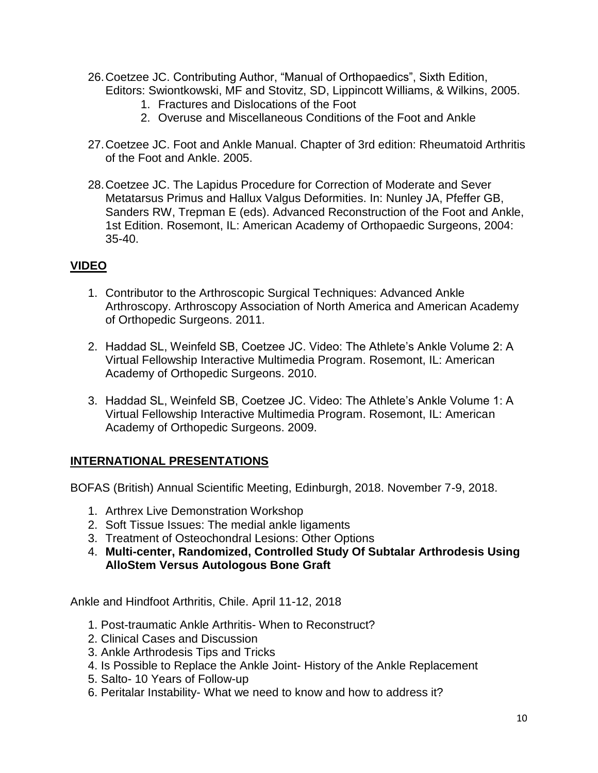- 26.Coetzee JC. Contributing Author, "Manual of Orthopaedics", Sixth Edition, Editors: Swiontkowski, MF and Stovitz, SD, Lippincott Williams, & Wilkins, 2005.
	- 1. Fractures and Dislocations of the Foot
	- 2. Overuse and Miscellaneous Conditions of the Foot and Ankle
- 27.Coetzee JC. Foot and Ankle Manual. Chapter of 3rd edition: Rheumatoid Arthritis of the Foot and Ankle. 2005.
- 28.Coetzee JC. The Lapidus Procedure for Correction of Moderate and Sever Metatarsus Primus and Hallux Valgus Deformities. In: Nunley JA, Pfeffer GB, Sanders RW, Trepman E (eds). Advanced Reconstruction of the Foot and Ankle, 1st Edition. Rosemont, IL: American Academy of Orthopaedic Surgeons, 2004: 35-40.

## **VIDEO**

- 1. Contributor to the Arthroscopic Surgical Techniques: Advanced Ankle Arthroscopy. Arthroscopy Association of North America and American Academy of Orthopedic Surgeons. 2011.
- 2. Haddad SL, Weinfeld SB, Coetzee JC. Video: The Athlete's Ankle Volume 2: A Virtual Fellowship Interactive Multimedia Program. Rosemont, IL: American Academy of Orthopedic Surgeons. 2010.
- 3. Haddad SL, Weinfeld SB, Coetzee JC. Video: The Athlete's Ankle Volume 1: A Virtual Fellowship Interactive Multimedia Program. Rosemont, IL: American Academy of Orthopedic Surgeons. 2009.

## **INTERNATIONAL PRESENTATIONS**

BOFAS (British) Annual Scientific Meeting, Edinburgh, 2018. November 7-9, 2018.

- 1. Arthrex Live Demonstration Workshop
- 2. Soft Tissue Issues: The medial ankle ligaments
- 3. Treatment of Osteochondral Lesions: Other Options
- 4. **Multi-center, Randomized, Controlled Study Of Subtalar Arthrodesis Using AlloStem Versus Autologous Bone Graft**

Ankle and Hindfoot Arthritis, Chile. April 11-12, 2018

- 1. Post-traumatic Ankle Arthritis- When to Reconstruct?
- 2. Clinical Cases and Discussion
- 3. Ankle Arthrodesis Tips and Tricks
- 4. Is Possible to Replace the Ankle Joint- History of the Ankle Replacement
- 5. Salto- 10 Years of Follow-up
- 6. Peritalar Instability- What we need to know and how to address it?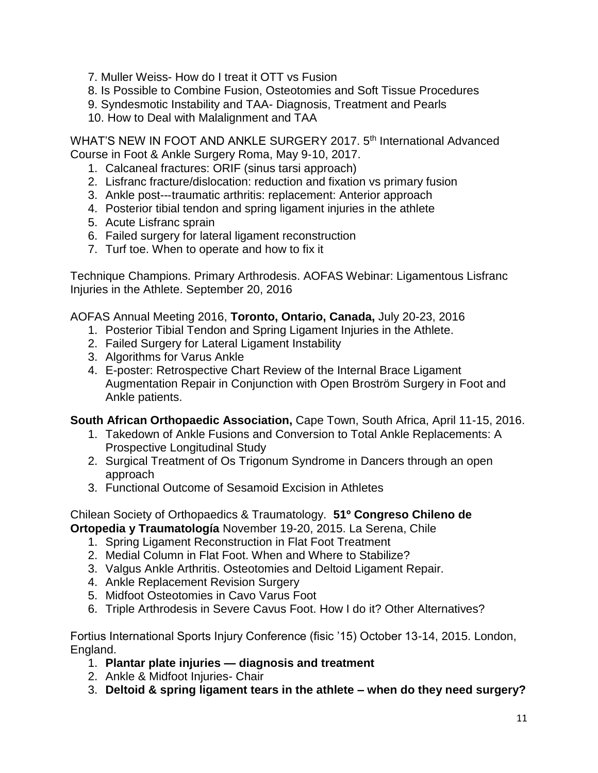7. Muller Weiss- How do I treat it OTT vs Fusion

8. Is Possible to Combine Fusion, Osteotomies and Soft Tissue Procedures

- 9. Syndesmotic Instability and TAA- Diagnosis, Treatment and Pearls
- 10. How to Deal with Malalignment and TAA

WHAT'S NEW IN FOOT AND ANKLE SURGERY 2017, 5<sup>th</sup> International Advanced Course in Foot & Ankle Surgery Roma, May 9‐10, 2017.

- 1. Calcaneal fractures: ORIF (sinus tarsi approach)
- 2. Lisfranc fracture/dislocation: reduction and fixation vs primary fusion
- 3. Ankle post--‐traumatic arthritis: replacement: Anterior approach
- 4. Posterior tibial tendon and spring ligament injuries in the athlete
- 5. Acute Lisfranc sprain
- 6. Failed surgery for lateral ligament reconstruction
- 7. Turf toe. When to operate and how to fix it

Technique Champions. Primary Arthrodesis. AOFAS Webinar: Ligamentous Lisfranc Injuries in the Athlete. September 20, 2016

AOFAS Annual Meeting 2016, **Toronto, Ontario, Canada,** July 20-23, 2016

- 1. Posterior Tibial Tendon and Spring Ligament Injuries in the Athlete.
- 2. Failed Surgery for Lateral Ligament Instability
- 3. Algorithms for Varus Ankle
- 4. E-poster: Retrospective Chart Review of the Internal Brace Ligament Augmentation Repair in Conjunction with Open Broström Surgery in Foot and Ankle patients.

**South African Orthopaedic Association,** Cape Town, South Africa, April 11-15, 2016.

- 1. Takedown of Ankle Fusions and Conversion to Total Ankle Replacements: A Prospective Longitudinal Study
- 2. Surgical Treatment of Os Trigonum Syndrome in Dancers through an open approach
- 3. Functional Outcome of Sesamoid Excision in Athletes

#### Chilean Society of Orthopaedics & Traumatology. **51º Congreso Chileno de Ortopedia y Traumatología** November 19-20, 2015. La Serena, Chile

- 1. Spring Ligament Reconstruction in Flat Foot Treatment
- 2. Medial Column in Flat Foot. When and Where to Stabilize?
- 3. Valgus Ankle Arthritis. Osteotomies and Deltoid Ligament Repair.
- 4. Ankle Replacement Revision Surgery
- 5. Midfoot Osteotomies in Cavo Varus Foot
- 6. Triple Arthrodesis in Severe Cavus Foot. How I do it? Other Alternatives?

Fortius International Sports Injury Conference (fisic '15) October 13-14, 2015. London, England.

- 1. **Plantar plate injuries — diagnosis and treatment**
- 2. Ankle & Midfoot Injuries- Chair
- 3. **Deltoid & spring ligament tears in the athlete – when do they need surgery?**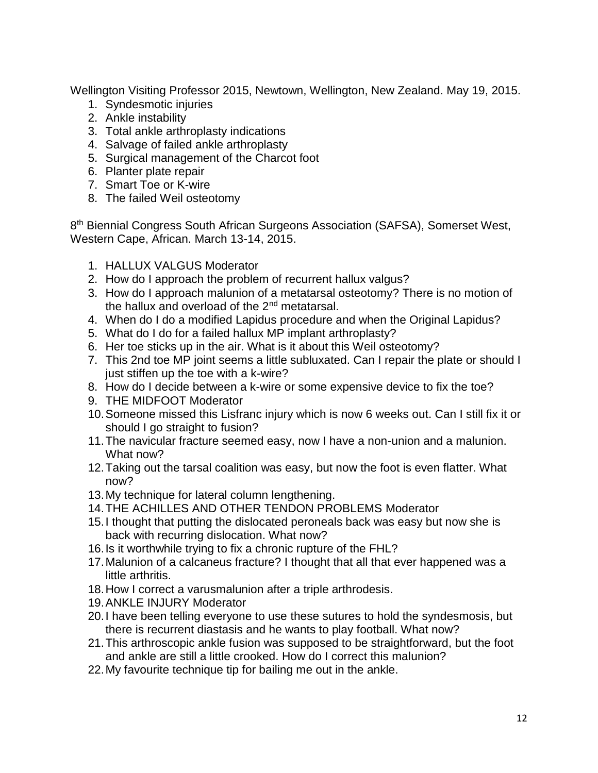Wellington Visiting Professor 2015, Newtown, Wellington, New Zealand. May 19, 2015.

- 1. Syndesmotic injuries
- 2. Ankle instability
- 3. Total ankle arthroplasty indications
- 4. Salvage of failed ankle arthroplasty
- 5. Surgical management of the Charcot foot
- 6. Planter plate repair
- 7. Smart Toe or K-wire
- 8. The failed Weil osteotomy

8<sup>th</sup> Biennial Congress South African Surgeons Association (SAFSA), Somerset West, Western Cape, African. March 13-14, 2015.

- 1. HALLUX VALGUS Moderator
- 2. How do I approach the problem of recurrent hallux valgus?
- 3. How do I approach malunion of a metatarsal osteotomy? There is no motion of the hallux and overload of the  $2<sup>nd</sup>$  metatarsal.
- 4. When do I do a modified Lapidus procedure and when the Original Lapidus?
- 5. What do I do for a failed hallux MP implant arthroplasty?
- 6. Her toe sticks up in the air. What is it about this Weil osteotomy?
- 7. This 2nd toe MP joint seems a little subluxated. Can I repair the plate or should I just stiffen up the toe with a k-wire?
- 8. How do I decide between a k-wire or some expensive device to fix the toe?
- 9. THE MIDFOOT Moderator
- 10.Someone missed this Lisfranc injury which is now 6 weeks out. Can I still fix it or should I go straight to fusion?
- 11.The navicular fracture seemed easy, now I have a non-union and a malunion. What now?
- 12.Taking out the tarsal coalition was easy, but now the foot is even flatter. What now?
- 13.My technique for lateral column lengthening.
- 14.THE ACHILLES AND OTHER TENDON PROBLEMS Moderator
- 15.I thought that putting the dislocated peroneals back was easy but now she is back with recurring dislocation. What now?
- 16.Is it worthwhile trying to fix a chronic rupture of the FHL?
- 17.Malunion of a calcaneus fracture? I thought that all that ever happened was a little arthritis.
- 18.How I correct a varusmalunion after a triple arthrodesis.
- 19.ANKLE INJURY Moderator
- 20.I have been telling everyone to use these sutures to hold the syndesmosis, but there is recurrent diastasis and he wants to play football. What now?
- 21.This arthroscopic ankle fusion was supposed to be straightforward, but the foot and ankle are still a little crooked. How do I correct this malunion?
- 22.My favourite technique tip for bailing me out in the ankle.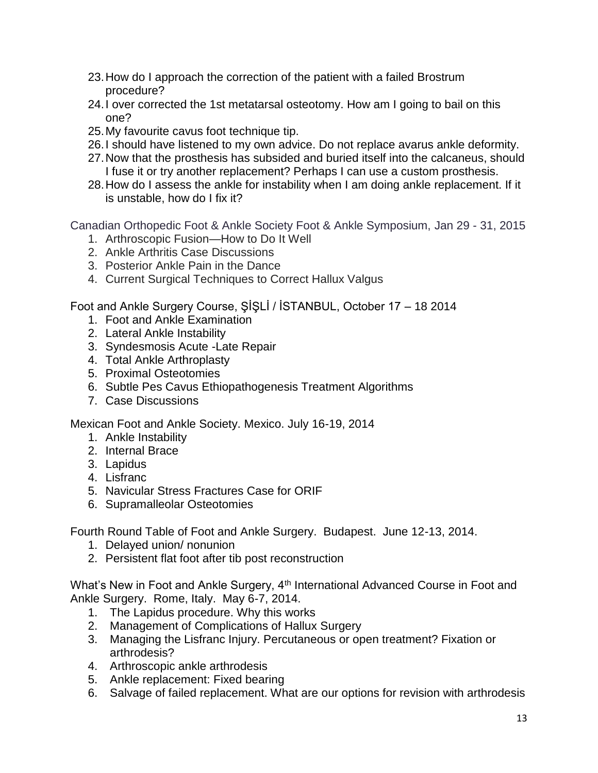- 23.How do I approach the correction of the patient with a failed Brostrum procedure?
- 24.I over corrected the 1st metatarsal osteotomy. How am I going to bail on this one?
- 25.My favourite cavus foot technique tip.
- 26.I should have listened to my own advice. Do not replace avarus ankle deformity.
- 27.Now that the prosthesis has subsided and buried itself into the calcaneus, should I fuse it or try another replacement? Perhaps I can use a custom prosthesis.
- 28.How do I assess the ankle for instability when I am doing ankle replacement. If it is unstable, how do I fix it?

Canadian Orthopedic Foot & Ankle Society Foot & Ankle Symposium, Jan 29 - 31, 2015

- 1. Arthroscopic Fusion—How to Do It Well
- 2. Ankle Arthritis Case Discussions
- 3. Posterior Ankle Pain in the Dance
- 4. Current Surgical Techniques to Correct Hallux Valgus

Foot and Ankle Surgery Course, ŞİŞLİ / İSTANBUL, October 17 – 18 2014

- 1. Foot and Ankle Examination
- 2. Lateral Ankle Instability
- 3. Syndesmosis Acute -Late Repair
- 4. Total Ankle Arthroplasty
- 5. Proximal Osteotomies
- 6. Subtle Pes Cavus Ethiopathogenesis Treatment Algorithms
- 7. Case Discussions

Mexican Foot and Ankle Society. Mexico. July 16-19, 2014

- 1. Ankle Instability
- 2. Internal Brace
- 3. Lapidus
- 4. Lisfranc
- 5. Navicular Stress Fractures Case for ORIF
- 6. Supramalleolar Osteotomies

Fourth Round Table of Foot and Ankle Surgery. Budapest. June 12-13, 2014.

- 1. Delayed union/ nonunion
- 2. Persistent flat foot after tib post reconstruction

What's New in Foot and Ankle Surgery, 4<sup>th</sup> International Advanced Course in Foot and Ankle Surgery. Rome, Italy. May 6-7, 2014.

- 1. The Lapidus procedure. Why this works
- 2. Management of Complications of Hallux Surgery
- 3. Managing the Lisfranc Injury. Percutaneous or open treatment? Fixation or arthrodesis?
- 4. Arthroscopic ankle arthrodesis
- 5. Ankle replacement: Fixed bearing
- 6. Salvage of failed replacement. What are our options for revision with arthrodesis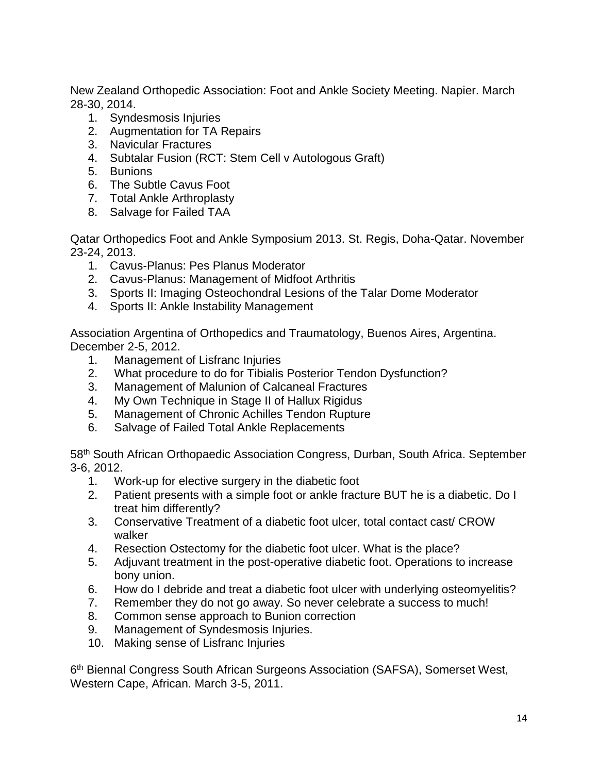New Zealand Orthopedic Association: Foot and Ankle Society Meeting. Napier. March 28-30, 2014.

- 1. Syndesmosis Injuries
- 2. Augmentation for TA Repairs
- 3. Navicular Fractures
- 4. Subtalar Fusion (RCT: Stem Cell v Autologous Graft)
- 5. Bunions
- 6. The Subtle Cavus Foot
- 7. Total Ankle Arthroplasty
- 8. Salvage for Failed TAA

Qatar Orthopedics Foot and Ankle Symposium 2013. St. Regis, Doha-Qatar. November 23-24, 2013.

- 1. Cavus-Planus: Pes Planus Moderator
- 2. Cavus-Planus: Management of Midfoot Arthritis
- 3. Sports II: Imaging Osteochondral Lesions of the Talar Dome Moderator
- 4. Sports II: Ankle Instability Management

Association Argentina of Orthopedics and Traumatology, Buenos Aires, Argentina. December 2-5, 2012.

- 1. Management of Lisfranc Injuries
- 2. What procedure to do for Tibialis Posterior Tendon Dysfunction?
- 3. Management of Malunion of Calcaneal Fractures
- 4. My Own Technique in Stage II of Hallux Rigidus
- 5. Management of Chronic Achilles Tendon Rupture
- 6. Salvage of Failed Total Ankle Replacements

58th South African Orthopaedic Association Congress, Durban, South Africa. September 3-6, 2012.

- 1. Work-up for elective surgery in the diabetic foot
- 2. Patient presents with a simple foot or ankle fracture BUT he is a diabetic. Do I treat him differently?
- 3. Conservative Treatment of a diabetic foot ulcer, total contact cast/ CROW walker
- 4. Resection Ostectomy for the diabetic foot ulcer. What is the place?
- 5. Adjuvant treatment in the post-operative diabetic foot. Operations to increase bony union.
- 6. How do I debride and treat a diabetic foot ulcer with underlying osteomyelitis?
- 7. Remember they do not go away. So never celebrate a success to much!
- 8. Common sense approach to Bunion correction
- 9. Management of Syndesmosis Injuries.
- 10. Making sense of Lisfranc Injuries

6<sup>th</sup> Biennal Congress South African Surgeons Association (SAFSA), Somerset West, Western Cape, African. March 3-5, 2011.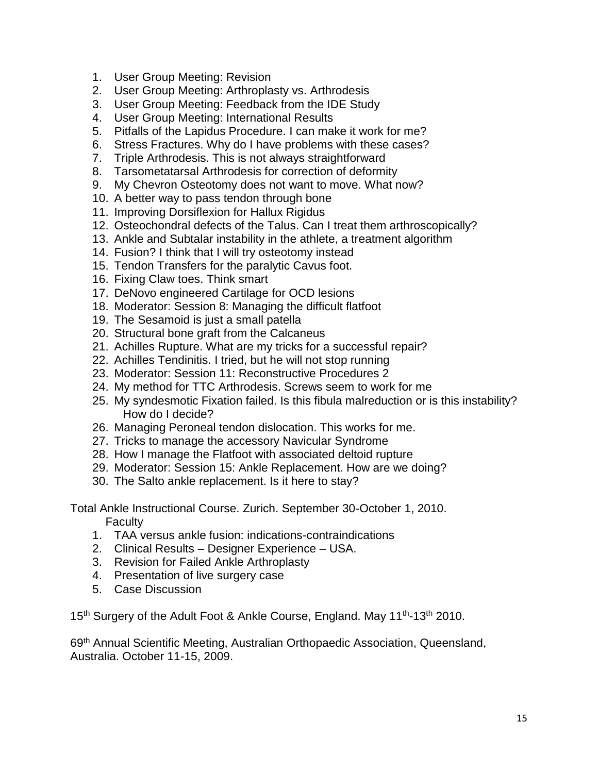- 1. User Group Meeting: Revision
- 2. User Group Meeting: Arthroplasty vs. Arthrodesis
- 3. User Group Meeting: Feedback from the IDE Study
- 4. User Group Meeting: International Results
- 5. Pitfalls of the Lapidus Procedure. I can make it work for me?
- 6. Stress Fractures. Why do I have problems with these cases?
- 7. Triple Arthrodesis. This is not always straightforward
- 8. Tarsometatarsal Arthrodesis for correction of deformity
- 9. My Chevron Osteotomy does not want to move. What now?
- 10. A better way to pass tendon through bone
- 11. Improving Dorsiflexion for Hallux Rigidus
- 12. Osteochondral defects of the Talus. Can I treat them arthroscopically?
- 13. Ankle and Subtalar instability in the athlete, a treatment algorithm
- 14. Fusion? I think that I will try osteotomy instead
- 15. Tendon Transfers for the paralytic Cavus foot.
- 16. Fixing Claw toes. Think smart
- 17. DeNovo engineered Cartilage for OCD lesions
- 18. Moderator: Session 8: Managing the difficult flatfoot
- 19. The Sesamoid is just a small patella
- 20. Structural bone graft from the Calcaneus
- 21. Achilles Rupture. What are my tricks for a successful repair?
- 22. Achilles Tendinitis. I tried, but he will not stop running
- 23. Moderator: Session 11: Reconstructive Procedures 2
- 24. My method for TTC Arthrodesis. Screws seem to work for me
- 25. My syndesmotic Fixation failed. Is this fibula malreduction or is this instability? How do I decide?
- 26. Managing Peroneal tendon dislocation. This works for me.
- 27. Tricks to manage the accessory Navicular Syndrome
- 28. How I manage the Flatfoot with associated deltoid rupture
- 29. Moderator: Session 15: Ankle Replacement. How are we doing?
- 30. The Salto ankle replacement. Is it here to stay?

Total Ankle Instructional Course. Zurich. September 30-October 1, 2010. **Faculty** 

- 1. TAA versus ankle fusion: indications-contraindications
- 2. Clinical Results Designer Experience USA.
- 3. Revision for Failed Ankle Arthroplasty
- 4. Presentation of live surgery case
- 5. Case Discussion

15<sup>th</sup> Surgery of the Adult Foot & Ankle Course, England. May 11<sup>th</sup>-13<sup>th</sup> 2010.

69th Annual Scientific Meeting, Australian Orthopaedic Association, Queensland, Australia. October 11-15, 2009.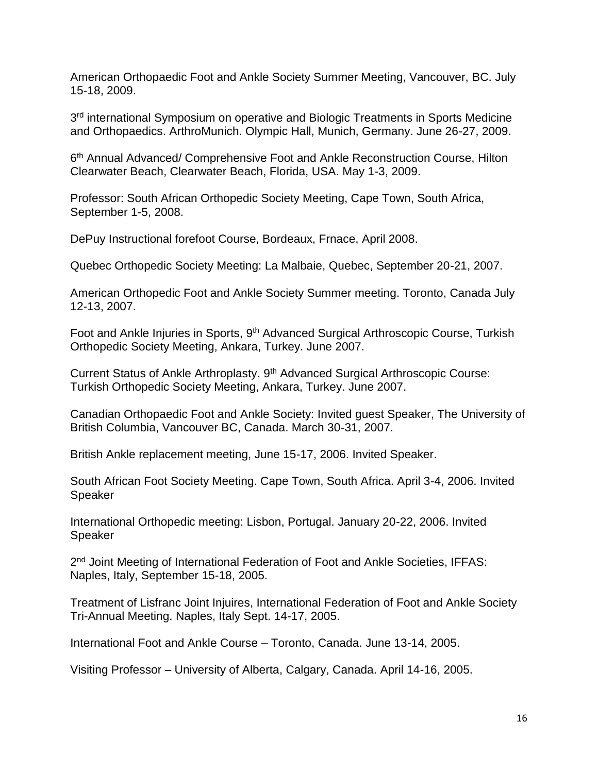American Orthopaedic Foot and Ankle Society Summer Meeting, Vancouver, BC. July 15-18, 2009.

3<sup>rd</sup> international Symposium on operative and Biologic Treatments in Sports Medicine and Orthopaedics. ArthroMunich. Olympic Hall, Munich, Germany. June 26-27, 2009.

6<sup>th</sup> Annual Advanced/ Comprehensive Foot and Ankle Reconstruction Course, Hilton Clearwater Beach, Clearwater Beach, Florida, USA. May 1-3, 2009.

Professor: South African Orthopedic Society Meeting, Cape Town, South Africa, September 1-5, 2008.

DePuy Instructional forefoot Course, Bordeaux, Frnace, April 2008.

Quebec Orthopedic Society Meeting: La Malbaie, Quebec, September 20-21, 2007.

American Orthopedic Foot and Ankle Society Summer meeting. Toronto, Canada July 12-13, 2007.

Foot and Ankle Injuries in Sports, 9<sup>th</sup> Advanced Surgical Arthroscopic Course, Turkish Orthopedic Society Meeting, Ankara, Turkey. June 2007.

Current Status of Ankle Arthroplasty. 9<sup>th</sup> Advanced Surgical Arthroscopic Course: Turkish Orthopedic Society Meeting, Ankara, Turkey. June 2007.

Canadian Orthopaedic Foot and Ankle Society: Invited guest Speaker, The University of British Columbia, Vancouver BC, Canada. March 30-31, 2007.

British Ankle replacement meeting, June 15-17, 2006. Invited Speaker.

South African Foot Society Meeting. Cape Town, South Africa. April 3-4, 2006. Invited Speaker

International Orthopedic meeting: Lisbon, Portugal. January 20-22, 2006. Invited Speaker

2<sup>nd</sup> Joint Meeting of International Federation of Foot and Ankle Societies, IFFAS: Naples, Italy, September 15-18, 2005.

Treatment of Lisfranc Joint Injuires, International Federation of Foot and Ankle Society Tri-Annual Meeting. Naples, Italy Sept. 14-17, 2005.

International Foot and Ankle Course – Toronto, Canada. June 13-14, 2005.

Visiting Professor – University of Alberta, Calgary, Canada. April 14-16, 2005.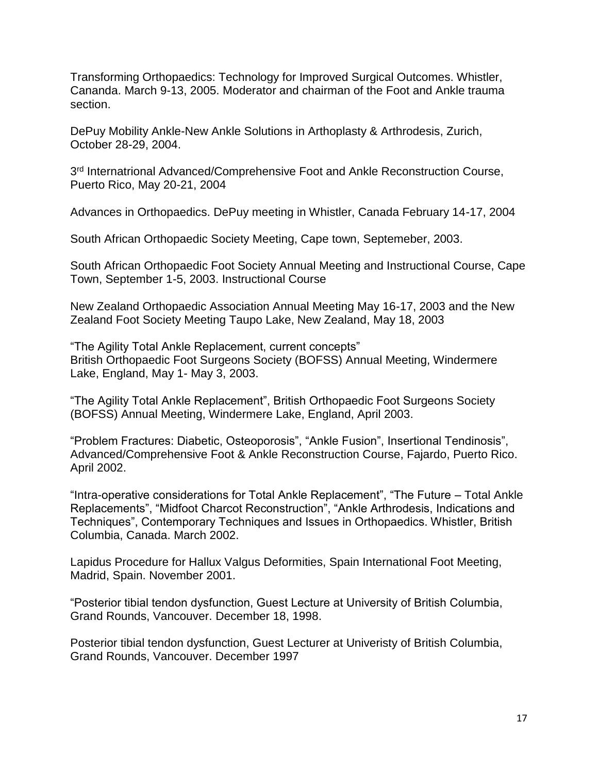Transforming Orthopaedics: Technology for Improved Surgical Outcomes. Whistler, Cananda. March 9-13, 2005. Moderator and chairman of the Foot and Ankle trauma section.

DePuy Mobility Ankle-New Ankle Solutions in Arthoplasty & Arthrodesis, Zurich, October 28-29, 2004.

3<sup>rd</sup> Internatrional Advanced/Comprehensive Foot and Ankle Reconstruction Course, Puerto Rico, May 20-21, 2004

Advances in Orthopaedics. DePuy meeting in Whistler, Canada February 14-17, 2004

South African Orthopaedic Society Meeting, Cape town, Septemeber, 2003.

South African Orthopaedic Foot Society Annual Meeting and Instructional Course, Cape Town, September 1-5, 2003. Instructional Course

New Zealand Orthopaedic Association Annual Meeting May 16-17, 2003 and the New Zealand Foot Society Meeting Taupo Lake, New Zealand, May 18, 2003

"The Agility Total Ankle Replacement, current concepts" British Orthopaedic Foot Surgeons Society (BOFSS) Annual Meeting, Windermere Lake, England, May 1- May 3, 2003.

"The Agility Total Ankle Replacement", British Orthopaedic Foot Surgeons Society (BOFSS) Annual Meeting, Windermere Lake, England, April 2003.

"Problem Fractures: Diabetic, Osteoporosis", "Ankle Fusion", Insertional Tendinosis", Advanced/Comprehensive Foot & Ankle Reconstruction Course, Fajardo, Puerto Rico. April 2002.

"Intra-operative considerations for Total Ankle Replacement", "The Future – Total Ankle Replacements", "Midfoot Charcot Reconstruction", "Ankle Arthrodesis, Indications and Techniques", Contemporary Techniques and Issues in Orthopaedics. Whistler, British Columbia, Canada. March 2002.

Lapidus Procedure for Hallux Valgus Deformities, Spain International Foot Meeting, Madrid, Spain. November 2001.

"Posterior tibial tendon dysfunction, Guest Lecture at University of British Columbia, Grand Rounds, Vancouver. December 18, 1998.

Posterior tibial tendon dysfunction, Guest Lecturer at Univeristy of British Columbia, Grand Rounds, Vancouver. December 1997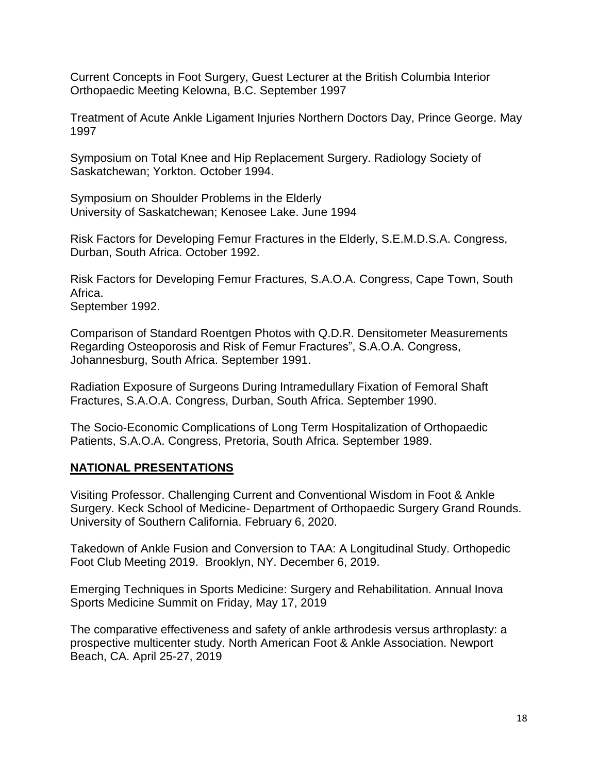Current Concepts in Foot Surgery, Guest Lecturer at the British Columbia Interior Orthopaedic Meeting Kelowna, B.C. September 1997

Treatment of Acute Ankle Ligament Injuries Northern Doctors Day, Prince George. May 1997

Symposium on Total Knee and Hip Replacement Surgery. Radiology Society of Saskatchewan; Yorkton. October 1994.

Symposium on Shoulder Problems in the Elderly University of Saskatchewan; Kenosee Lake. June 1994

Risk Factors for Developing Femur Fractures in the Elderly, S.E.M.D.S.A. Congress, Durban, South Africa. October 1992.

Risk Factors for Developing Femur Fractures, S.A.O.A. Congress, Cape Town, South Africa.

September 1992.

Comparison of Standard Roentgen Photos with Q.D.R. Densitometer Measurements Regarding Osteoporosis and Risk of Femur Fractures", S.A.O.A. Congress, Johannesburg, South Africa. September 1991.

Radiation Exposure of Surgeons During Intramedullary Fixation of Femoral Shaft Fractures, S.A.O.A. Congress, Durban, South Africa. September 1990.

The Socio-Economic Complications of Long Term Hospitalization of Orthopaedic Patients, S.A.O.A. Congress, Pretoria, South Africa. September 1989.

#### **NATIONAL PRESENTATIONS**

Visiting Professor. Challenging Current and Conventional Wisdom in Foot & Ankle Surgery. Keck School of Medicine- Department of Orthopaedic Surgery Grand Rounds. University of Southern California. February 6, 2020.

Takedown of Ankle Fusion and Conversion to TAA: A Longitudinal Study. Orthopedic Foot Club Meeting 2019. Brooklyn, NY. December 6, 2019.

Emerging Techniques in Sports Medicine: Surgery and Rehabilitation. Annual Inova Sports Medicine Summit on Friday, May 17, 2019

The comparative effectiveness and safety of ankle arthrodesis versus arthroplasty: a prospective multicenter study. North American Foot & Ankle Association. Newport Beach, CA. April 25-27, 2019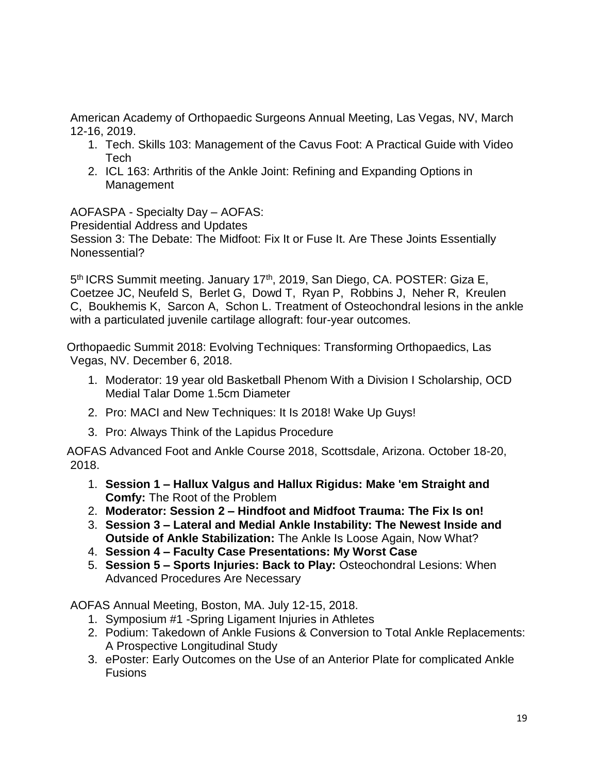American Academy of Orthopaedic Surgeons Annual Meeting, Las Vegas, NV, March 12-16, 2019.

- 1. Tech. Skills 103: Management of the Cavus Foot: A Practical Guide with Video Tech
- 2. ICL 163: Arthritis of the Ankle Joint: Refining and Expanding Options in Management

AOFASPA - Specialty Day – AOFAS:

Presidential Address and Updates

Session 3: The Debate: The Midfoot: Fix It or Fuse It. Are These Joints Essentially Nonessential?

5<sup>th</sup> ICRS Summit meeting. January 17<sup>th</sup>, 2019, San Diego, CA. POSTER: Giza E, Coetzee JC, Neufeld S, Berlet G, Dowd T, Ryan P, Robbins J, Neher R, Kreulen C, Boukhemis K, Sarcon A, Schon L. Treatment of Osteochondral lesions in the ankle with a particulated juvenile cartilage allograft: four-year outcomes.

Orthopaedic Summit 2018: Evolving Techniques: Transforming Orthopaedics, Las Vegas, NV. December 6, 2018.

- 1. Moderator: 19 year old Basketball Phenom With a Division I Scholarship, OCD Medial Talar Dome 1.5cm Diameter
- 2. Pro: MACI and New Techniques: It Is 2018! Wake Up Guys!
- 3. Pro: Always Think of the Lapidus Procedure

AOFAS Advanced Foot and Ankle Course 2018, Scottsdale, Arizona. October 18-20, 2018.

- 1. **Session 1 – Hallux Valgus and Hallux Rigidus: Make 'em Straight and Comfy:** The Root of the Problem
- 2. **Moderator: Session 2 – Hindfoot and Midfoot Trauma: The Fix Is on!**
- 3. **Session 3 – Lateral and Medial Ankle Instability: The Newest Inside and Outside of Ankle Stabilization:** The Ankle Is Loose Again, Now What?
- 4. **Session 4 – Faculty Case Presentations: My Worst Case**
- 5. **Session 5 – Sports Injuries: Back to Play:** Osteochondral Lesions: When Advanced Procedures Are Necessary

AOFAS Annual Meeting, Boston, MA. July 12-15, 2018.

- 1. Symposium #1 -Spring Ligament Injuries in Athletes
- 2. Podium: Takedown of Ankle Fusions & Conversion to Total Ankle Replacements: A Prospective Longitudinal Study
- 3. ePoster: Early Outcomes on the Use of an Anterior Plate for complicated Ankle Fusions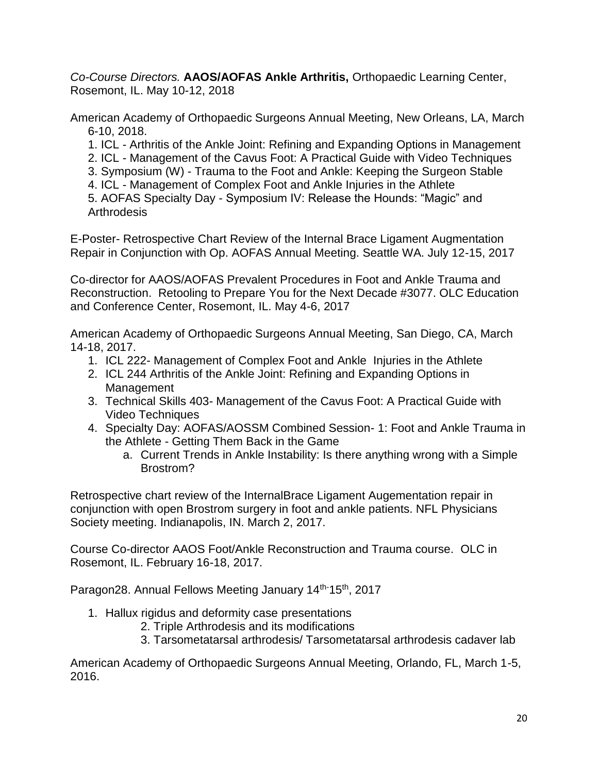*Co-Course Directors.* **[AAOS/AOFAS Ankle Arthritis,](https://www.aaos.org/calendar/event/?productId=10399075)** Orthopaedic Learning Center, [Rosemont, IL.](https://www.aaos.org/calendar/event/?productId=10399075) May 10-12, 2018

American Academy of Orthopaedic Surgeons Annual Meeting, New Orleans, LA, March 6-10, 2018.

1. ICL - Arthritis of the Ankle Joint: Refining and Expanding Options in Management

2. ICL - Management of the Cavus Foot: A Practical Guide with Video Techniques

3. Symposium (W) - Trauma to the Foot and Ankle: Keeping the Surgeon Stable

4. ICL - Management of Complex Foot and Ankle Injuries in the Athlete

5. AOFAS Specialty Day - Symposium IV: Release the Hounds: "Magic" and **Arthrodesis** 

E-Poster- Retrospective Chart Review of the Internal Brace Ligament Augmentation Repair in Conjunction with Op. AOFAS Annual Meeting. Seattle WA. July 12-15, 2017

Co-director for AAOS/AOFAS Prevalent Procedures in Foot and Ankle Trauma and Reconstruction. Retooling to Prepare You for the Next Decade #3077. OLC Education and Conference Center, Rosemont, IL. May 4-6, 2017

American Academy of Orthopaedic Surgeons Annual Meeting, San Diego, CA, March 14-18, 2017.

- 1. ICL 222- Management of Complex Foot and Ankle Injuries in the Athlete
- 2. ICL 244 Arthritis of the Ankle Joint: Refining and Expanding Options in **Management**
- 3. Technical Skills 403- Management of the Cavus Foot: A Practical Guide with Video Techniques
- 4. Specialty Day: AOFAS/AOSSM Combined Session- 1: Foot and Ankle Trauma in the Athlete - Getting Them Back in the Game
	- a. Current Trends in Ankle Instability: Is there anything wrong with a Simple Brostrom?

Retrospective chart review of the InternalBrace Ligament Augementation repair in conjunction with open Brostrom surgery in foot and ankle patients. NFL Physicians Society meeting. Indianapolis, IN. March 2, 2017.

Course Co-director AAOS Foot/Ankle Reconstruction and Trauma course. OLC in Rosemont, IL. February 16-18, 2017.

Paragon28. Annual Fellows Meeting January 14th-15th, 2017

- 1. Hallux rigidus and deformity case presentations
	- 2. Triple Arthrodesis and its modifications
	- 3. Tarsometatarsal arthrodesis/ Tarsometatarsal arthrodesis cadaver lab

American Academy of Orthopaedic Surgeons Annual Meeting, Orlando, FL, March 1-5, 2016.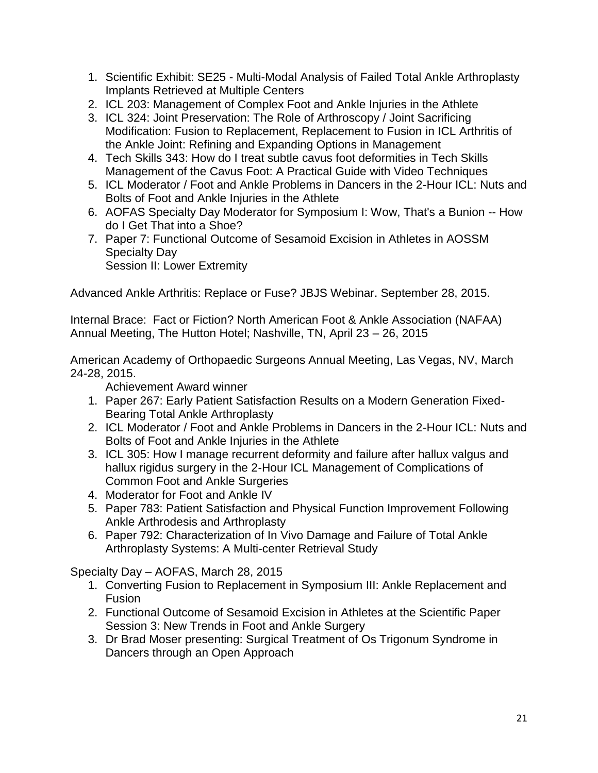- 1. Scientific Exhibit: SE25 Multi-Modal Analysis of Failed Total Ankle Arthroplasty Implants Retrieved at Multiple Centers
- 2. ICL 203: Management of Complex Foot and Ankle Injuries in the Athlete
- 3. ICL 324: Joint Preservation: The Role of Arthroscopy / Joint Sacrificing Modification: Fusion to Replacement, Replacement to Fusion in ICL Arthritis of the Ankle Joint: Refining and Expanding Options in Management
- 4. Tech Skills 343: How do I treat subtle cavus foot deformities in Tech Skills Management of the Cavus Foot: A Practical Guide with Video Techniques
- 5. ICL Moderator / Foot and Ankle Problems in Dancers in the 2-Hour ICL: Nuts and Bolts of Foot and Ankle Injuries in the Athlete
- 6. AOFAS Specialty Day Moderator for Symposium I: Wow, That's a Bunion -- How do I Get That into a Shoe?
- 7. Paper 7: Functional Outcome of Sesamoid Excision in Athletes in AOSSM Specialty Day Session II: Lower Extremity

Advanced Ankle Arthritis: Replace or Fuse? JBJS Webinar. September 28, 2015.

Internal Brace: Fact or Fiction? North American Foot & Ankle Association (NAFAA) Annual Meeting, The Hutton Hotel; Nashville, TN, April 23 – 26, 2015

American Academy of Orthopaedic Surgeons Annual Meeting, Las Vegas, NV, March 24-28, 2015.

Achievement Award winner

- 1. Paper 267: Early Patient Satisfaction Results on a Modern Generation Fixed-Bearing Total Ankle Arthroplasty
- 2. ICL Moderator / Foot and Ankle Problems in Dancers in the 2-Hour ICL: Nuts and Bolts of Foot and Ankle Injuries in the Athlete
- 3. ICL 305: How I manage recurrent deformity and failure after hallux valgus and hallux rigidus surgery in the 2-Hour ICL Management of Complications of Common Foot and Ankle Surgeries
- 4. Moderator for Foot and Ankle IV
- 5. Paper 783: Patient Satisfaction and Physical Function Improvement Following Ankle Arthrodesis and Arthroplasty
- 6. Paper 792: Characterization of In Vivo Damage and Failure of Total Ankle Arthroplasty Systems: A Multi-center Retrieval Study

Specialty Day – AOFAS, March 28, 2015

- 1. Converting Fusion to Replacement in Symposium III: Ankle Replacement and Fusion
- 2. Functional Outcome of Sesamoid Excision in Athletes at the Scientific Paper Session 3: New Trends in Foot and Ankle Surgery
- 3. Dr Brad Moser presenting: Surgical Treatment of Os Trigonum Syndrome in Dancers through an Open Approach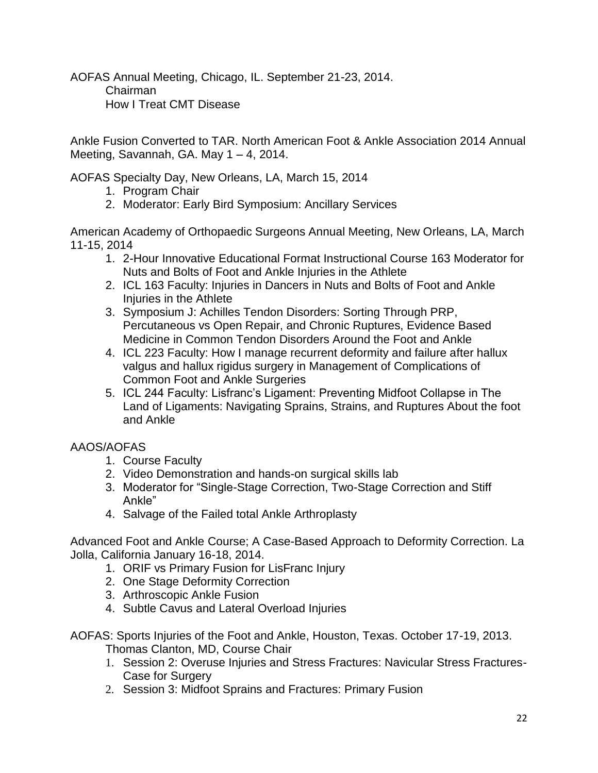AOFAS Annual Meeting, Chicago, IL. September 21-23, 2014. Chairman How I Treat CMT Disease

Ankle Fusion Converted to TAR. North American Foot & Ankle Association 2014 Annual Meeting, Savannah, GA. May 1 – 4, 2014.

AOFAS Specialty Day, New Orleans, LA, March 15, 2014

- 1. Program Chair
- 2. Moderator: Early Bird Symposium: Ancillary Services

American Academy of Orthopaedic Surgeons Annual Meeting, New Orleans, LA, March 11-15, 2014

- 1. 2-Hour Innovative Educational Format Instructional Course 163 Moderator for Nuts and Bolts of Foot and Ankle Injuries in the Athlete
- 2. ICL 163 Faculty: Injuries in Dancers in Nuts and Bolts of Foot and Ankle Injuries in the Athlete
- 3. Symposium J: Achilles Tendon Disorders: Sorting Through PRP, Percutaneous vs Open Repair, and Chronic Ruptures, Evidence Based Medicine in Common Tendon Disorders Around the Foot and Ankle
- 4. ICL 223 Faculty: How I manage recurrent deformity and failure after hallux valgus and hallux rigidus surgery in Management of Complications of Common Foot and Ankle Surgeries
- 5. ICL 244 Faculty: Lisfranc's Ligament: Preventing Midfoot Collapse in The Land of Ligaments: Navigating Sprains, Strains, and Ruptures About the foot and Ankle

# AAOS/AOFAS

- 1. Course Faculty
- 2. Video Demonstration and hands-on surgical skills lab
- 3. Moderator for "Single-Stage Correction, Two-Stage Correction and Stiff Ankle"
- 4. Salvage of the Failed total Ankle Arthroplasty

Advanced Foot and Ankle Course; A Case-Based Approach to Deformity Correction. La Jolla, California January 16-18, 2014.

- 1. ORIF vs Primary Fusion for LisFranc Injury
- 2. One Stage Deformity Correction
- 3. Arthroscopic Ankle Fusion
- 4. Subtle Cavus and Lateral Overload Injuries

AOFAS: Sports Injuries of the Foot and Ankle, Houston, Texas. October 17-19, 2013. Thomas Clanton, MD, Course Chair

- 1. Session 2: Overuse Injuries and Stress Fractures: Navicular Stress Fractures-Case for Surgery
- 2. Session 3: Midfoot Sprains and Fractures: Primary Fusion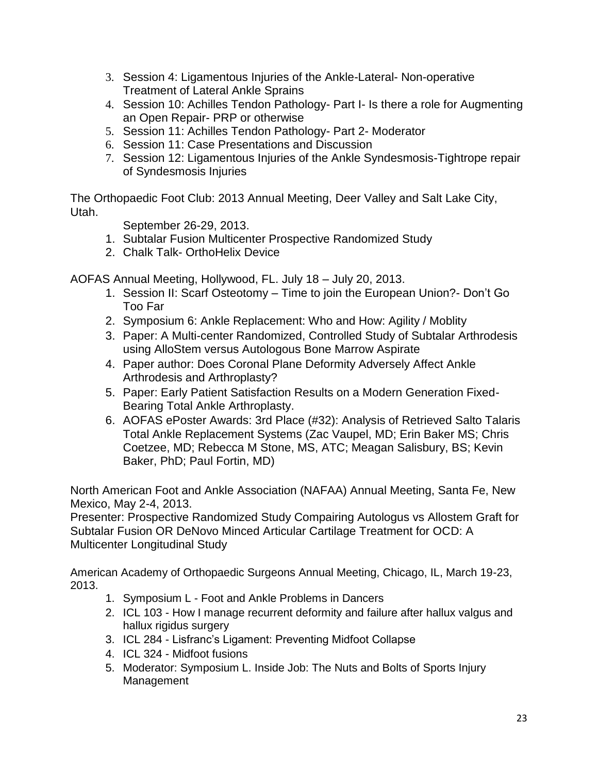- 3. Session 4: Ligamentous Injuries of the Ankle-Lateral- Non-operative Treatment of Lateral Ankle Sprains
- 4. Session 10: Achilles Tendon Pathology- Part I- Is there a role for Augmenting an Open Repair- PRP or otherwise
- 5. Session 11: Achilles Tendon Pathology- Part 2- Moderator
- 6. Session 11: Case Presentations and Discussion
- 7. Session 12: Ligamentous Injuries of the Ankle Syndesmosis-Tightrope repair of Syndesmosis Injuries

The Orthopaedic Foot Club: 2013 Annual Meeting, Deer Valley and Salt Lake City, Utah.

September 26-29, 2013.

- 1. Subtalar Fusion Multicenter Prospective Randomized Study
- 2. Chalk Talk- OrthoHelix Device

AOFAS Annual Meeting, Hollywood, FL. July 18 – July 20, 2013.

- 1. Session II: Scarf Osteotomy Time to join the European Union?- Don't Go Too Far
- 2. Symposium 6: Ankle Replacement: Who and How: Agility / Moblity
- 3. Paper: A Multi-center Randomized, Controlled Study of Subtalar Arthrodesis using AlloStem versus Autologous Bone Marrow Aspirate
- 4. Paper author: Does Coronal Plane Deformity Adversely Affect Ankle Arthrodesis and Arthroplasty?
- 5. Paper: Early Patient Satisfaction Results on a Modern Generation Fixed-Bearing Total Ankle Arthroplasty.
- 6. AOFAS ePoster Awards: 3rd Place (#32): Analysis of Retrieved Salto Talaris Total Ankle Replacement Systems (Zac Vaupel, MD; Erin Baker MS; Chris Coetzee, MD; Rebecca M Stone, MS, ATC; Meagan Salisbury, BS; Kevin Baker, PhD; Paul Fortin, MD)

North American Foot and Ankle Association (NAFAA) Annual Meeting, Santa Fe, New Mexico, May 2-4, 2013.

Presenter: Prospective Randomized Study Compairing Autologus vs Allostem Graft for Subtalar Fusion OR DeNovo Minced Articular Cartilage Treatment for OCD: A Multicenter Longitudinal Study

American Academy of Orthopaedic Surgeons Annual Meeting, Chicago, IL, March 19-23, 2013.

- 1. Symposium L Foot and Ankle Problems in Dancers
- 2. ICL 103 How I manage recurrent deformity and failure after hallux valgus and hallux rigidus surgery
- 3. ICL 284 Lisfranc's Ligament: Preventing Midfoot Collapse
- 4. ICL 324 Midfoot fusions
- 5. Moderator: Symposium L. Inside Job: The Nuts and Bolts of Sports Injury Management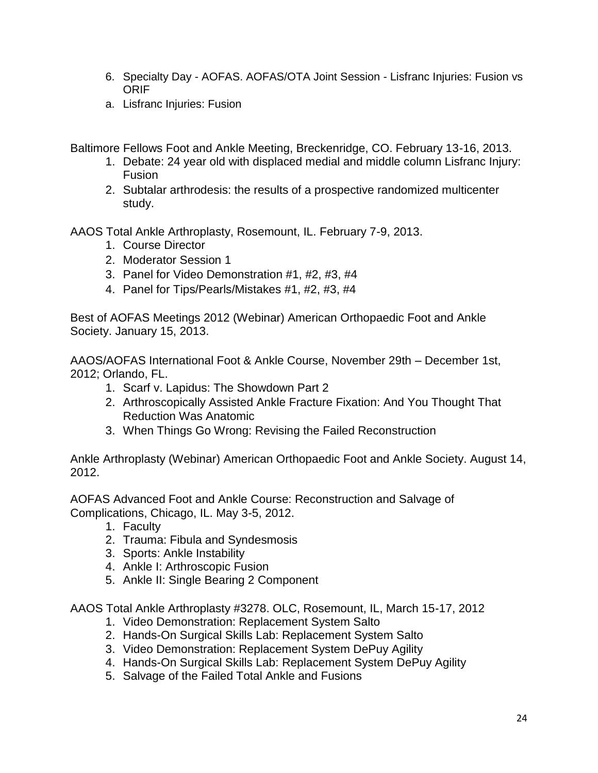- 6. Specialty Day AOFAS. AOFAS/OTA Joint Session Lisfranc Injuries: Fusion vs ORIF
- a. Lisfranc Injuries: Fusion

Baltimore Fellows Foot and Ankle Meeting, Breckenridge, CO. February 13-16, 2013.

- 1. Debate: 24 year old with displaced medial and middle column Lisfranc Injury: Fusion
- 2. Subtalar arthrodesis: the results of a prospective randomized multicenter study.

AAOS Total Ankle Arthroplasty, Rosemount, IL. February 7-9, 2013.

- 1. Course Director
- 2. Moderator Session 1
- 3. Panel for Video Demonstration #1, #2, #3, #4
- 4. Panel for Tips/Pearls/Mistakes #1, #2, #3, #4

Best of AOFAS Meetings 2012 (Webinar) American Orthopaedic Foot and Ankle Society. January 15, 2013.

AAOS/AOFAS International Foot & Ankle Course, November 29th – December 1st, 2012; Orlando, FL.

- 1. Scarf v. Lapidus: The Showdown Part 2
- 2. Arthroscopically Assisted Ankle Fracture Fixation: And You Thought That Reduction Was Anatomic
- 3. When Things Go Wrong: Revising the Failed Reconstruction

Ankle Arthroplasty (Webinar) American Orthopaedic Foot and Ankle Society. August 14, 2012.

AOFAS Advanced Foot and Ankle Course: Reconstruction and Salvage of Complications, Chicago, IL. May 3-5, 2012.

- 1. Faculty
- 2. Trauma: Fibula and Syndesmosis
- 3. Sports: Ankle Instability
- 4. Ankle I: Arthroscopic Fusion
- 5. Ankle II: Single Bearing 2 Component

AAOS Total Ankle Arthroplasty #3278. OLC, Rosemount, IL, March 15-17, 2012

- 1. Video Demonstration: Replacement System Salto
- 2. Hands-On Surgical Skills Lab: Replacement System Salto
- 3. Video Demonstration: Replacement System DePuy Agility
- 4. Hands-On Surgical Skills Lab: Replacement System DePuy Agility
- 5. Salvage of the Failed Total Ankle and Fusions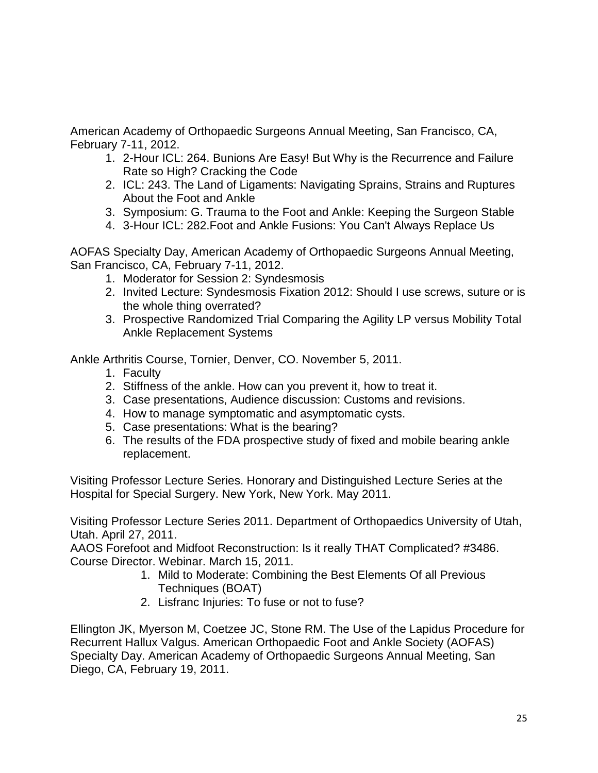American Academy of Orthopaedic Surgeons Annual Meeting, San Francisco, CA, February 7-11, 2012.

- 1. 2-Hour ICL: 264. Bunions Are Easy! But Why is the Recurrence and Failure Rate so High? Cracking the Code
- 2. ICL: 243. The Land of Ligaments: Navigating Sprains, Strains and Ruptures About the Foot and Ankle
- 3. Symposium: G. Trauma to the Foot and Ankle: Keeping the Surgeon Stable
- 4. 3-Hour ICL: 282.Foot and Ankle Fusions: You Can't Always Replace Us

AOFAS Specialty Day, American Academy of Orthopaedic Surgeons Annual Meeting, San Francisco, CA, February 7-11, 2012.

- 1. Moderator for Session 2: Syndesmosis
- 2. Invited Lecture: Syndesmosis Fixation 2012: Should I use screws, suture or is the whole thing overrated?
- 3. Prospective Randomized Trial Comparing the Agility LP versus Mobility Total Ankle Replacement Systems

Ankle Arthritis Course, Tornier, Denver, CO. November 5, 2011.

- 1. Faculty
- 2. Stiffness of the ankle. How can you prevent it, how to treat it.
- 3. Case presentations, Audience discussion: Customs and revisions.
- 4. How to manage symptomatic and asymptomatic cysts.
- 5. Case presentations: What is the bearing?
- 6. The results of the FDA prospective study of fixed and mobile bearing ankle replacement.

Visiting Professor Lecture Series. Honorary and Distinguished Lecture Series at the Hospital for Special Surgery. New York, New York. May 2011.

Visiting Professor Lecture Series 2011. Department of Orthopaedics University of Utah, Utah. April 27, 2011.

AAOS Forefoot and Midfoot Reconstruction: Is it really THAT Complicated? #3486. Course Director. Webinar. March 15, 2011.

- 1. Mild to Moderate: Combining the Best Elements Of all Previous Techniques (BOAT)
- 2. Lisfranc Injuries: To fuse or not to fuse?

Ellington JK, Myerson M, Coetzee JC, Stone RM. The Use of the Lapidus Procedure for Recurrent Hallux Valgus. American Orthopaedic Foot and Ankle Society (AOFAS) Specialty Day. American Academy of Orthopaedic Surgeons Annual Meeting, San Diego, CA, February 19, 2011.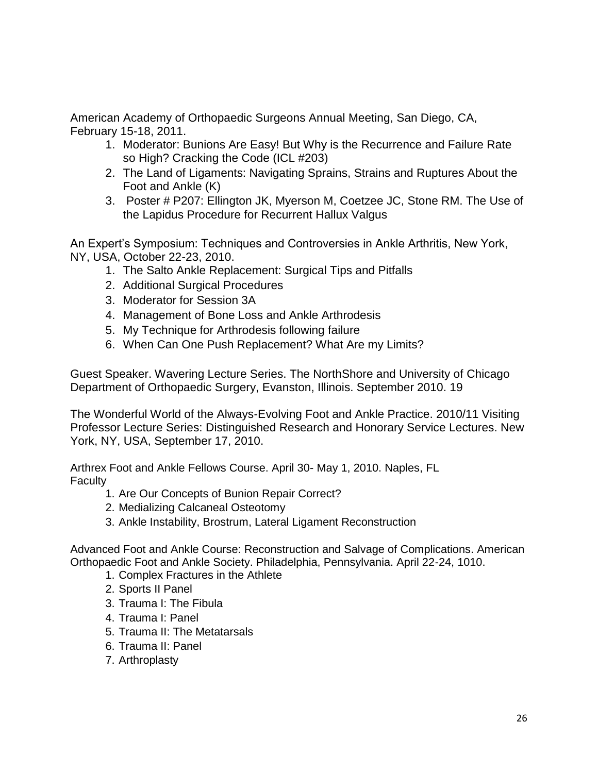American Academy of Orthopaedic Surgeons Annual Meeting, San Diego, CA, February 15-18, 2011.

- 1. Moderator: Bunions Are Easy! But Why is the Recurrence and Failure Rate so High? Cracking the Code (ICL #203)
- 2. The Land of Ligaments: Navigating Sprains, Strains and Ruptures About the Foot and Ankle (K)
- 3. Poster # P207: Ellington JK, Myerson M, Coetzee JC, Stone RM. The Use of the Lapidus Procedure for Recurrent Hallux Valgus

An Expert's Symposium: Techniques and Controversies in Ankle Arthritis, New York, NY, USA, October 22-23, 2010.

- 1. The Salto Ankle Replacement: Surgical Tips and Pitfalls
- 2. Additional Surgical Procedures
- 3. Moderator for Session 3A
- 4. Management of Bone Loss and Ankle Arthrodesis
- 5. My Technique for Arthrodesis following failure
- 6. When Can One Push Replacement? What Are my Limits?

Guest Speaker. Wavering Lecture Series. The NorthShore and University of Chicago Department of Orthopaedic Surgery, Evanston, Illinois. September 2010. 19

The Wonderful World of the Always-Evolving Foot and Ankle Practice. 2010/11 Visiting Professor Lecture Series: Distinguished Research and Honorary Service Lectures. New York, NY, USA, September 17, 2010.

Arthrex Foot and Ankle Fellows Course. April 30- May 1, 2010. Naples, FL **Faculty** 

- 1. Are Our Concepts of Bunion Repair Correct?
- 2. Medializing Calcaneal Osteotomy
- 3. Ankle Instability, Brostrum, Lateral Ligament Reconstruction

Advanced Foot and Ankle Course: Reconstruction and Salvage of Complications. American Orthopaedic Foot and Ankle Society. Philadelphia, Pennsylvania. April 22-24, 1010.

- 1. Complex Fractures in the Athlete
- 2. Sports II Panel
- 3. Trauma I: The Fibula
- 4. Trauma I: Panel
- 5. Trauma II: The Metatarsals
- 6. Trauma II: Panel
- 7. Arthroplasty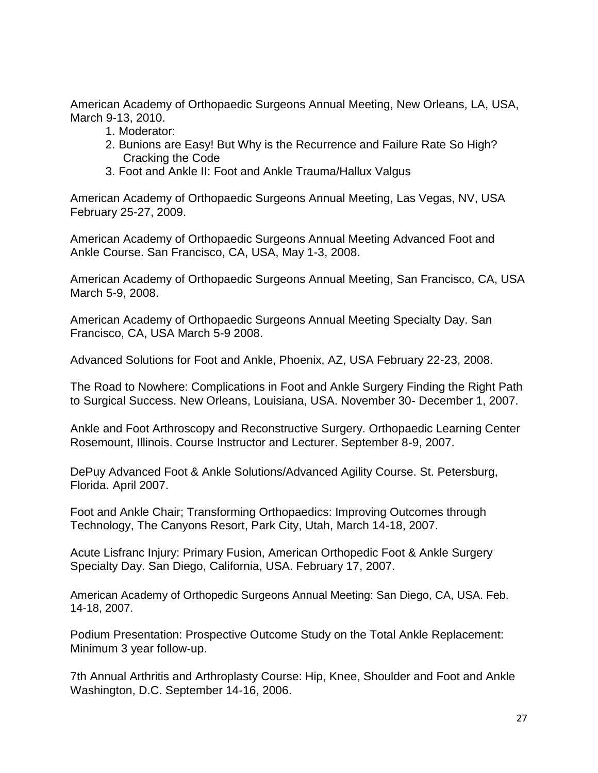American Academy of Orthopaedic Surgeons Annual Meeting, New Orleans, LA, USA, March 9-13, 2010.

- 1. Moderator:
- 2. Bunions are Easy! But Why is the Recurrence and Failure Rate So High? Cracking the Code
- 3. Foot and Ankle II: Foot and Ankle Trauma/Hallux Valgus

American Academy of Orthopaedic Surgeons Annual Meeting, Las Vegas, NV, USA February 25-27, 2009.

American Academy of Orthopaedic Surgeons Annual Meeting Advanced Foot and Ankle Course. San Francisco, CA, USA, May 1-3, 2008.

American Academy of Orthopaedic Surgeons Annual Meeting, San Francisco, CA, USA March 5-9, 2008.

American Academy of Orthopaedic Surgeons Annual Meeting Specialty Day. San Francisco, CA, USA March 5-9 2008.

Advanced Solutions for Foot and Ankle, Phoenix, AZ, USA February 22-23, 2008.

The Road to Nowhere: Complications in Foot and Ankle Surgery Finding the Right Path to Surgical Success. New Orleans, Louisiana, USA. November 30- December 1, 2007.

Ankle and Foot Arthroscopy and Reconstructive Surgery. Orthopaedic Learning Center Rosemount, Illinois. Course Instructor and Lecturer. September 8-9, 2007.

DePuy Advanced Foot & Ankle Solutions/Advanced Agility Course. St. Petersburg, Florida. April 2007.

Foot and Ankle Chair; Transforming Orthopaedics: Improving Outcomes through Technology, The Canyons Resort, Park City, Utah, March 14-18, 2007.

Acute Lisfranc Injury: Primary Fusion, American Orthopedic Foot & Ankle Surgery Specialty Day. San Diego, California, USA. February 17, 2007.

American Academy of Orthopedic Surgeons Annual Meeting: San Diego, CA, USA. Feb. 14-18, 2007.

Podium Presentation: Prospective Outcome Study on the Total Ankle Replacement: Minimum 3 year follow-up.

7th Annual Arthritis and Arthroplasty Course: Hip, Knee, Shoulder and Foot and Ankle Washington, D.C. September 14-16, 2006.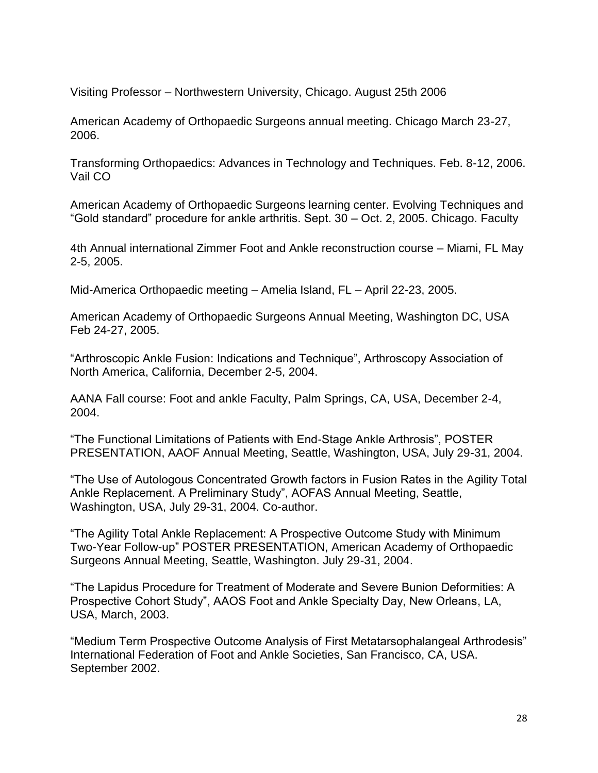Visiting Professor – Northwestern University, Chicago. August 25th 2006

American Academy of Orthopaedic Surgeons annual meeting. Chicago March 23-27, 2006.

Transforming Orthopaedics: Advances in Technology and Techniques. Feb. 8-12, 2006. Vail CO

American Academy of Orthopaedic Surgeons learning center. Evolving Techniques and "Gold standard" procedure for ankle arthritis. Sept. 30 – Oct. 2, 2005. Chicago. Faculty

4th Annual international Zimmer Foot and Ankle reconstruction course – Miami, FL May 2-5, 2005.

Mid-America Orthopaedic meeting – Amelia Island, FL – April 22-23, 2005.

American Academy of Orthopaedic Surgeons Annual Meeting, Washington DC, USA Feb 24-27, 2005.

"Arthroscopic Ankle Fusion: Indications and Technique", Arthroscopy Association of North America, California, December 2-5, 2004.

AANA Fall course: Foot and ankle Faculty, Palm Springs, CA, USA, December 2-4, 2004.

"The Functional Limitations of Patients with End-Stage Ankle Arthrosis", POSTER PRESENTATION, AAOF Annual Meeting, Seattle, Washington, USA, July 29-31, 2004.

"The Use of Autologous Concentrated Growth factors in Fusion Rates in the Agility Total Ankle Replacement. A Preliminary Study", AOFAS Annual Meeting, Seattle, Washington, USA, July 29-31, 2004. Co-author.

"The Agility Total Ankle Replacement: A Prospective Outcome Study with Minimum Two-Year Follow-up" POSTER PRESENTATION, American Academy of Orthopaedic Surgeons Annual Meeting, Seattle, Washington. July 29-31, 2004.

"The Lapidus Procedure for Treatment of Moderate and Severe Bunion Deformities: A Prospective Cohort Study", AAOS Foot and Ankle Specialty Day, New Orleans, LA, USA, March, 2003.

"Medium Term Prospective Outcome Analysis of First Metatarsophalangeal Arthrodesis" International Federation of Foot and Ankle Societies, San Francisco, CA, USA. September 2002.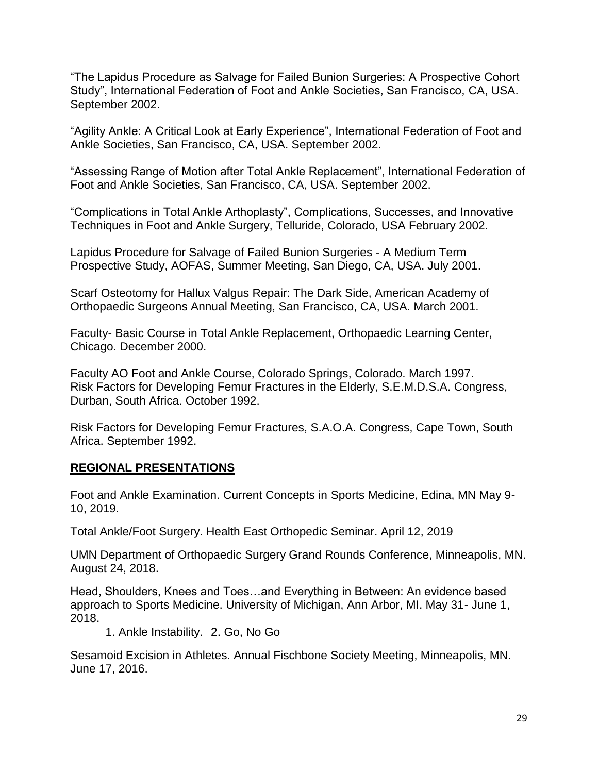"The Lapidus Procedure as Salvage for Failed Bunion Surgeries: A Prospective Cohort Study", International Federation of Foot and Ankle Societies, San Francisco, CA, USA. September 2002.

"Agility Ankle: A Critical Look at Early Experience", International Federation of Foot and Ankle Societies, San Francisco, CA, USA. September 2002.

"Assessing Range of Motion after Total Ankle Replacement", International Federation of Foot and Ankle Societies, San Francisco, CA, USA. September 2002.

"Complications in Total Ankle Arthoplasty", Complications, Successes, and Innovative Techniques in Foot and Ankle Surgery, Telluride, Colorado, USA February 2002.

Lapidus Procedure for Salvage of Failed Bunion Surgeries - A Medium Term Prospective Study, AOFAS, Summer Meeting, San Diego, CA, USA. July 2001.

Scarf Osteotomy for Hallux Valgus Repair: The Dark Side, American Academy of Orthopaedic Surgeons Annual Meeting, San Francisco, CA, USA. March 2001.

Faculty- Basic Course in Total Ankle Replacement, Orthopaedic Learning Center, Chicago. December 2000.

Faculty AO Foot and Ankle Course, Colorado Springs, Colorado. March 1997. Risk Factors for Developing Femur Fractures in the Elderly, S.E.M.D.S.A. Congress, Durban, South Africa. October 1992.

Risk Factors for Developing Femur Fractures, S.A.O.A. Congress, Cape Town, South Africa. September 1992.

## **REGIONAL PRESENTATIONS**

Foot and Ankle Examination. Current Concepts in Sports Medicine, Edina, MN May 9- 10, 2019.

Total Ankle/Foot Surgery. Health East Orthopedic Seminar. April 12, 2019

UMN Department of Orthopaedic Surgery Grand Rounds Conference, Minneapolis, MN. August 24, 2018.

Head, Shoulders, Knees and Toes…and Everything in Between: An evidence based approach to Sports Medicine. University of Michigan, Ann Arbor, MI. May 31- June 1, 2018.

1. Ankle Instability. 2. Go, No Go

Sesamoid Excision in Athletes. Annual Fischbone Society Meeting, Minneapolis, MN. June 17, 2016.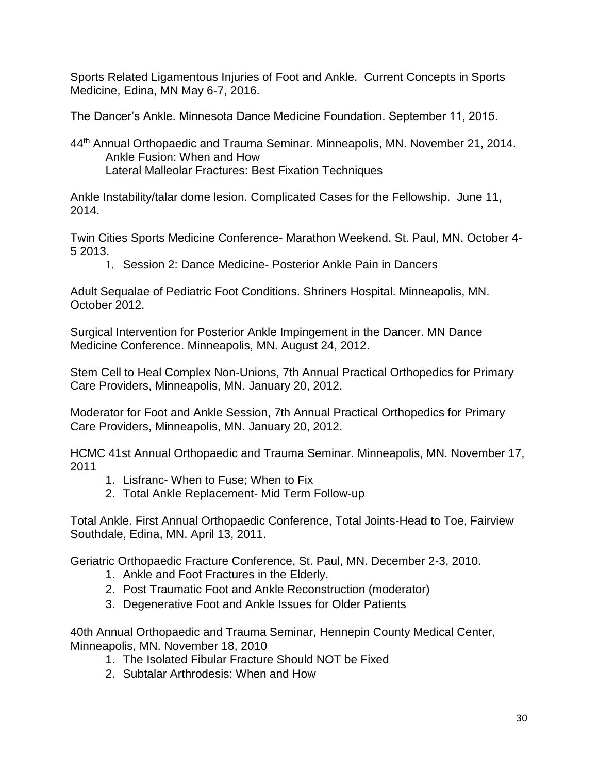Sports Related Ligamentous Injuries of Foot and Ankle. Current Concepts in Sports Medicine, Edina, MN May 6-7, 2016.

The Dancer's Ankle. Minnesota Dance Medicine Foundation. September 11, 2015.

44<sup>th</sup> Annual Orthopaedic and Trauma Seminar. Minneapolis, MN. November 21, 2014. Ankle Fusion: When and How Lateral Malleolar Fractures: Best Fixation Techniques

Ankle Instability/talar dome lesion. Complicated Cases for the Fellowship. June 11, 2014.

Twin Cities Sports Medicine Conference- Marathon Weekend. St. Paul, MN. October 4- 5 2013.

1. Session 2: Dance Medicine- Posterior Ankle Pain in Dancers

Adult Sequalae of Pediatric Foot Conditions. Shriners Hospital. Minneapolis, MN. October 2012.

Surgical Intervention for Posterior Ankle Impingement in the Dancer. MN Dance Medicine Conference. Minneapolis, MN. August 24, 2012.

Stem Cell to Heal Complex Non-Unions, 7th Annual Practical Orthopedics for Primary Care Providers, Minneapolis, MN. January 20, 2012.

Moderator for Foot and Ankle Session, 7th Annual Practical Orthopedics for Primary Care Providers, Minneapolis, MN. January 20, 2012.

HCMC 41st Annual Orthopaedic and Trauma Seminar. Minneapolis, MN. November 17, 2011

- 1. Lisfranc- When to Fuse; When to Fix
- 2. Total Ankle Replacement- Mid Term Follow-up

Total Ankle. First Annual Orthopaedic Conference, Total Joints-Head to Toe, Fairview Southdale, Edina, MN. April 13, 2011.

Geriatric Orthopaedic Fracture Conference, St. Paul, MN. December 2-3, 2010.

- 1. Ankle and Foot Fractures in the Elderly.
- 2. Post Traumatic Foot and Ankle Reconstruction (moderator)
- 3. Degenerative Foot and Ankle Issues for Older Patients

40th Annual Orthopaedic and Trauma Seminar, Hennepin County Medical Center, Minneapolis, MN. November 18, 2010

- 1. The Isolated Fibular Fracture Should NOT be Fixed
- 2. Subtalar Arthrodesis: When and How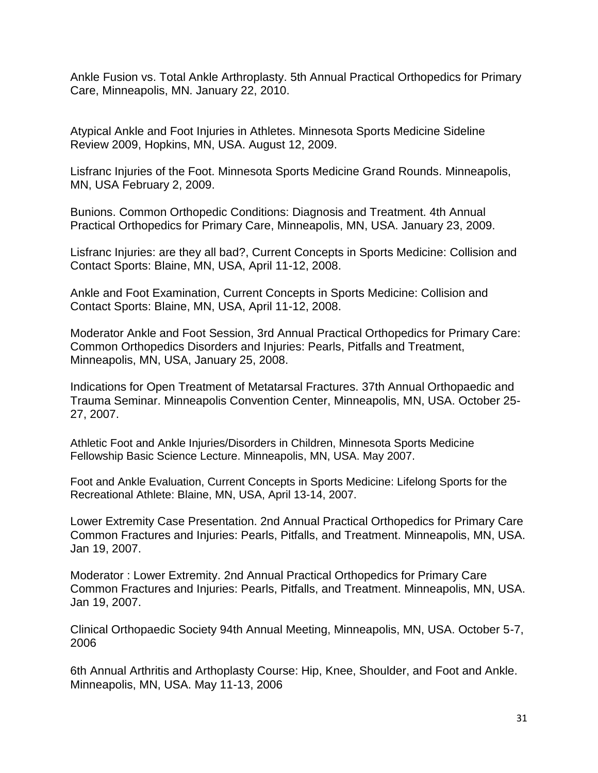Ankle Fusion vs. Total Ankle Arthroplasty. 5th Annual Practical Orthopedics for Primary Care, Minneapolis, MN. January 22, 2010.

Atypical Ankle and Foot Injuries in Athletes. Minnesota Sports Medicine Sideline Review 2009, Hopkins, MN, USA. August 12, 2009.

Lisfranc Injuries of the Foot. Minnesota Sports Medicine Grand Rounds. Minneapolis, MN, USA February 2, 2009.

Bunions. Common Orthopedic Conditions: Diagnosis and Treatment. 4th Annual Practical Orthopedics for Primary Care, Minneapolis, MN, USA. January 23, 2009.

Lisfranc Injuries: are they all bad?, Current Concepts in Sports Medicine: Collision and Contact Sports: Blaine, MN, USA, April 11-12, 2008.

Ankle and Foot Examination, Current Concepts in Sports Medicine: Collision and Contact Sports: Blaine, MN, USA, April 11-12, 2008.

Moderator Ankle and Foot Session, 3rd Annual Practical Orthopedics for Primary Care: Common Orthopedics Disorders and Injuries: Pearls, Pitfalls and Treatment, Minneapolis, MN, USA, January 25, 2008.

Indications for Open Treatment of Metatarsal Fractures. 37th Annual Orthopaedic and Trauma Seminar. Minneapolis Convention Center, Minneapolis, MN, USA. October 25- 27, 2007.

Athletic Foot and Ankle Injuries/Disorders in Children, Minnesota Sports Medicine Fellowship Basic Science Lecture. Minneapolis, MN, USA. May 2007.

Foot and Ankle Evaluation, Current Concepts in Sports Medicine: Lifelong Sports for the Recreational Athlete: Blaine, MN, USA, April 13-14, 2007.

Lower Extremity Case Presentation. 2nd Annual Practical Orthopedics for Primary Care Common Fractures and Injuries: Pearls, Pitfalls, and Treatment. Minneapolis, MN, USA. Jan 19, 2007.

Moderator : Lower Extremity. 2nd Annual Practical Orthopedics for Primary Care Common Fractures and Injuries: Pearls, Pitfalls, and Treatment. Minneapolis, MN, USA. Jan 19, 2007.

Clinical Orthopaedic Society 94th Annual Meeting, Minneapolis, MN, USA. October 5-7, 2006

6th Annual Arthritis and Arthoplasty Course: Hip, Knee, Shoulder, and Foot and Ankle. Minneapolis, MN, USA. May 11-13, 2006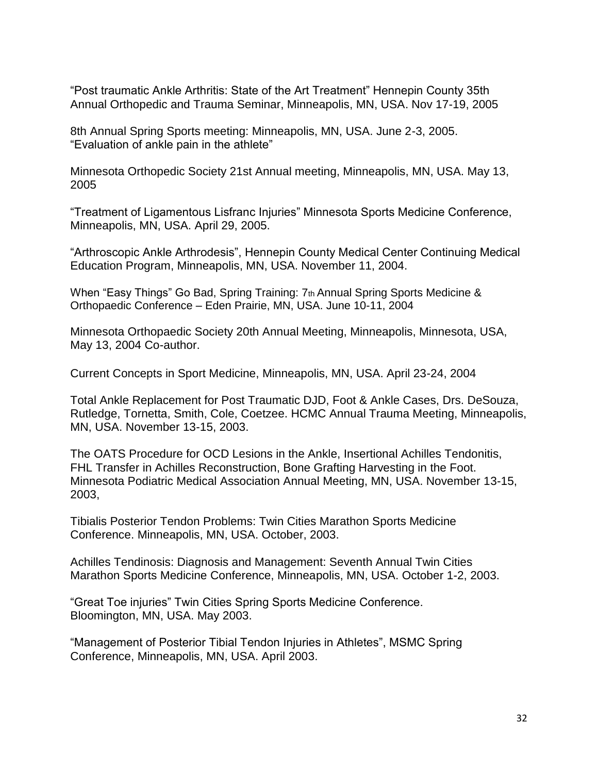"Post traumatic Ankle Arthritis: State of the Art Treatment" Hennepin County 35th Annual Orthopedic and Trauma Seminar, Minneapolis, MN, USA. Nov 17-19, 2005

8th Annual Spring Sports meeting: Minneapolis, MN, USA. June 2-3, 2005. "Evaluation of ankle pain in the athlete"

Minnesota Orthopedic Society 21st Annual meeting, Minneapolis, MN, USA. May 13, 2005

"Treatment of Ligamentous Lisfranc Injuries" Minnesota Sports Medicine Conference, Minneapolis, MN, USA. April 29, 2005.

"Arthroscopic Ankle Arthrodesis", Hennepin County Medical Center Continuing Medical Education Program, Minneapolis, MN, USA. November 11, 2004.

When "Easy Things" Go Bad, Spring Training: 7th Annual Spring Sports Medicine & Orthopaedic Conference – Eden Prairie, MN, USA. June 10-11, 2004

Minnesota Orthopaedic Society 20th Annual Meeting, Minneapolis, Minnesota, USA, May 13, 2004 Co-author.

Current Concepts in Sport Medicine, Minneapolis, MN, USA. April 23-24, 2004

Total Ankle Replacement for Post Traumatic DJD, Foot & Ankle Cases, Drs. DeSouza, Rutledge, Tornetta, Smith, Cole, Coetzee. HCMC Annual Trauma Meeting, Minneapolis, MN, USA. November 13-15, 2003.

The OATS Procedure for OCD Lesions in the Ankle, Insertional Achilles Tendonitis, FHL Transfer in Achilles Reconstruction, Bone Grafting Harvesting in the Foot. Minnesota Podiatric Medical Association Annual Meeting, MN, USA. November 13-15, 2003,

Tibialis Posterior Tendon Problems: Twin Cities Marathon Sports Medicine Conference. Minneapolis, MN, USA. October, 2003.

Achilles Tendinosis: Diagnosis and Management: Seventh Annual Twin Cities Marathon Sports Medicine Conference, Minneapolis, MN, USA. October 1-2, 2003.

"Great Toe injuries" Twin Cities Spring Sports Medicine Conference. Bloomington, MN, USA. May 2003.

"Management of Posterior Tibial Tendon Injuries in Athletes", MSMC Spring Conference, Minneapolis, MN, USA. April 2003.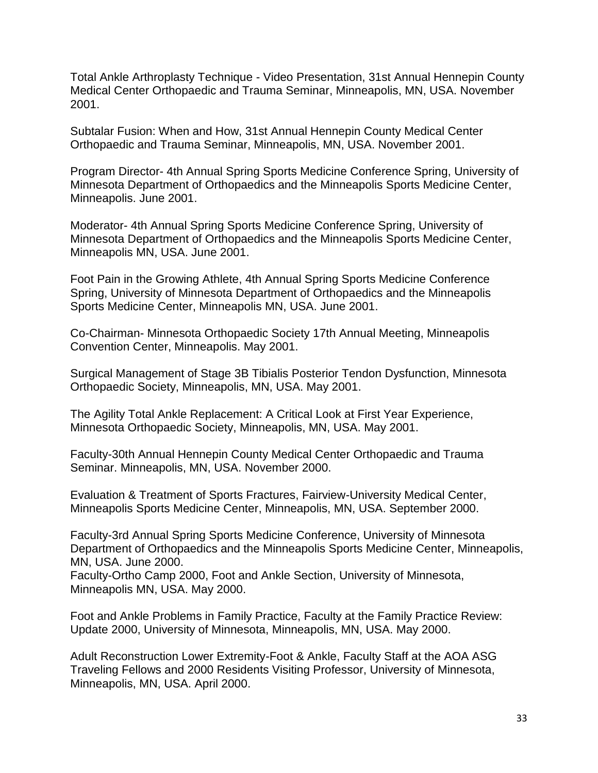Total Ankle Arthroplasty Technique - Video Presentation, 31st Annual Hennepin County Medical Center Orthopaedic and Trauma Seminar, Minneapolis, MN, USA. November 2001.

Subtalar Fusion: When and How, 31st Annual Hennepin County Medical Center Orthopaedic and Trauma Seminar, Minneapolis, MN, USA. November 2001.

Program Director- 4th Annual Spring Sports Medicine Conference Spring, University of Minnesota Department of Orthopaedics and the Minneapolis Sports Medicine Center, Minneapolis. June 2001.

Moderator- 4th Annual Spring Sports Medicine Conference Spring, University of Minnesota Department of Orthopaedics and the Minneapolis Sports Medicine Center, Minneapolis MN, USA. June 2001.

Foot Pain in the Growing Athlete, 4th Annual Spring Sports Medicine Conference Spring, University of Minnesota Department of Orthopaedics and the Minneapolis Sports Medicine Center, Minneapolis MN, USA. June 2001.

Co-Chairman- Minnesota Orthopaedic Society 17th Annual Meeting, Minneapolis Convention Center, Minneapolis. May 2001.

Surgical Management of Stage 3B Tibialis Posterior Tendon Dysfunction, Minnesota Orthopaedic Society, Minneapolis, MN, USA. May 2001.

The Agility Total Ankle Replacement: A Critical Look at First Year Experience, Minnesota Orthopaedic Society, Minneapolis, MN, USA. May 2001.

Faculty-30th Annual Hennepin County Medical Center Orthopaedic and Trauma Seminar. Minneapolis, MN, USA. November 2000.

Evaluation & Treatment of Sports Fractures, Fairview-University Medical Center, Minneapolis Sports Medicine Center, Minneapolis, MN, USA. September 2000.

Faculty-3rd Annual Spring Sports Medicine Conference, University of Minnesota Department of Orthopaedics and the Minneapolis Sports Medicine Center, Minneapolis, MN, USA. June 2000.

Faculty-Ortho Camp 2000, Foot and Ankle Section, University of Minnesota, Minneapolis MN, USA. May 2000.

Foot and Ankle Problems in Family Practice, Faculty at the Family Practice Review: Update 2000, University of Minnesota, Minneapolis, MN, USA. May 2000.

Adult Reconstruction Lower Extremity-Foot & Ankle, Faculty Staff at the AOA ASG Traveling Fellows and 2000 Residents Visiting Professor, University of Minnesota, Minneapolis, MN, USA. April 2000.